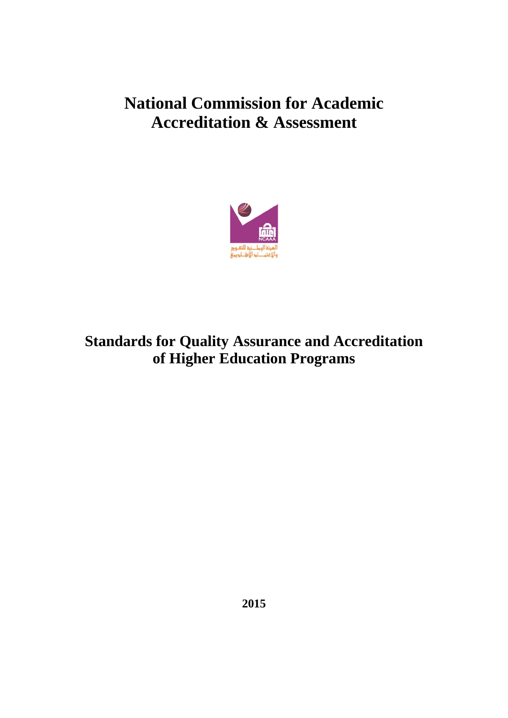# **National Commission for Academic Accreditation & Assessment**



# **Standards for Quality Assurance and Accreditation of Higher Education Programs**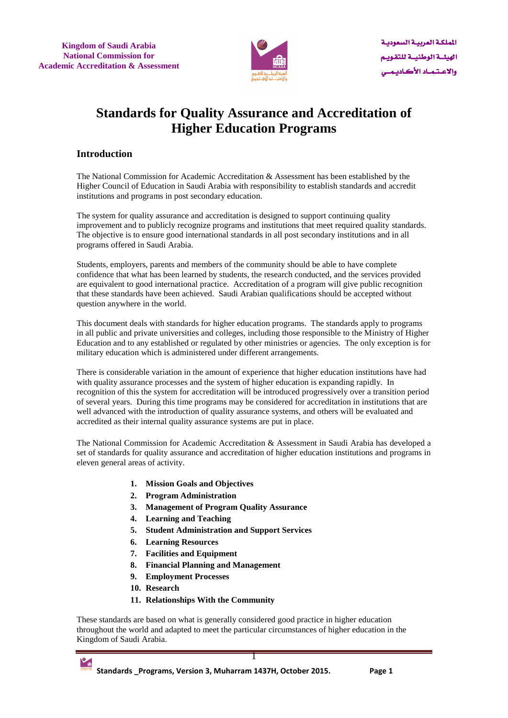

## **Standards for Quality Assurance and Accreditation of Higher Education Programs**

## **Introduction**

The National Commission for Academic Accreditation & Assessment has been established by the Higher Council of Education in Saudi Arabia with responsibility to establish standards and accredit institutions and programs in post secondary education.

The system for quality assurance and accreditation is designed to support continuing quality improvement and to publicly recognize programs and institutions that meet required quality standards. The objective is to ensure good international standards in all post secondary institutions and in all programs offered in Saudi Arabia.

Students, employers, parents and members of the community should be able to have complete confidence that what has been learned by students, the research conducted, and the services provided are equivalent to good international practice. Accreditation of a program will give public recognition that these standards have been achieved. Saudi Arabian qualifications should be accepted without question anywhere in the world.

This document deals with standards for higher education programs. The standards apply to programs in all public and private universities and colleges, including those responsible to the Ministry of Higher Education and to any established or regulated by other ministries or agencies. The only exception is for military education which is administered under different arrangements.

There is considerable variation in the amount of experience that higher education institutions have had with quality assurance processes and the system of higher education is expanding rapidly. In recognition of this the system for accreditation will be introduced progressively over a transition period of several years. During this time programs may be considered for accreditation in institutions that are well advanced with the introduction of quality assurance systems, and others will be evaluated and accredited as their internal quality assurance systems are put in place.

The National Commission for Academic Accreditation & Assessment in Saudi Arabia has developed a set of standards for quality assurance and accreditation of higher education institutions and programs in eleven general areas of activity.

- **1. Mission Goals and Objectives**
- **2. Program Administration**
- **3. Management of Program Quality Assurance**
- **4. Learning and Teaching**
- **5. Student Administration and Support Services**
- **6. Learning Resources**
- **7. Facilities and Equipment**
- **8. Financial Planning and Management**
- **9. Employment Processes**
- **10. Research**
- **11. Relationships With the Community**

These standards are based on what is generally considered good practice in higher education throughout the world and adapted to meet the particular circumstances of higher education in the Kingdom of Saudi Arabia.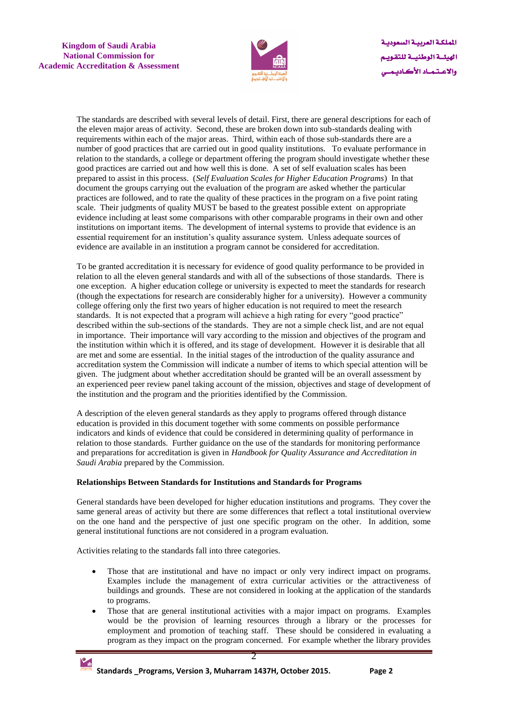

The standards are described with several levels of detail. First, there are general descriptions for each of the eleven major areas of activity. Second, these are broken down into sub-standards dealing with requirements within each of the major areas. Third, within each of those sub-standards there are a number of good practices that are carried out in good quality institutions. To evaluate performance in relation to the standards, a college or department offering the program should investigate whether these good practices are carried out and how well this is done. A set of self evaluation scales has been prepared to assist in this process. (*Self Evaluation Scales for Higher Education Programs*) In that document the groups carrying out the evaluation of the program are asked whether the particular practices are followed, and to rate the quality of these practices in the program on a five point rating scale. Their judgments of quality MUST be based to the greatest possible extent on appropriate evidence including at least some comparisons with other comparable programs in their own and other institutions on important items. The development of internal systems to provide that evidence is an essential requirement for an institution's quality assurance system. Unless adequate sources of evidence are available in an institution a program cannot be considered for accreditation.

To be granted accreditation it is necessary for evidence of good quality performance to be provided in relation to all the eleven general standards and with all of the subsections of those standards. There is one exception. A higher education college or university is expected to meet the standards for research (though the expectations for research are considerably higher for a university). However a community college offering only the first two years of higher education is not required to meet the research standards. It is not expected that a program will achieve a high rating for every "good practice" described within the sub-sections of the standards. They are not a simple check list, and are not equal in importance. Their importance will vary according to the mission and objectives of the program and the institution within which it is offered, and its stage of development. However it is desirable that all are met and some are essential. In the initial stages of the introduction of the quality assurance and accreditation system the Commission will indicate a number of items to which special attention will be given. The judgment about whether accreditation should be granted will be an overall assessment by an experienced peer review panel taking account of the mission, objectives and stage of development of the institution and the program and the priorities identified by the Commission.

A description of the eleven general standards as they apply to programs offered through distance education is provided in this document together with some comments on possible performance indicators and kinds of evidence that could be considered in determining quality of performance in relation to those standards. Further guidance on the use of the standards for monitoring performance and preparations for accreditation is given in *Handbook for Quality Assurance and Accreditation in Saudi Arabia* prepared by the Commission.

#### **Relationships Between Standards for Institutions and Standards for Programs**

General standards have been developed for higher education institutions and programs. They cover the same general areas of activity but there are some differences that reflect a total institutional overview on the one hand and the perspective of just one specific program on the other. In addition, some general institutional functions are not considered in a program evaluation.

Activities relating to the standards fall into three categories.

- Those that are institutional and have no impact or only very indirect impact on programs. Examples include the management of extra curricular activities or the attractiveness of buildings and grounds. These are not considered in looking at the application of the standards to programs.
- Those that are general institutional activities with a major impact on programs. Examples would be the provision of learning resources through a library or the processes for employment and promotion of teaching staff. These should be considered in evaluating a program as they impact on the program concerned. For example whether the library provides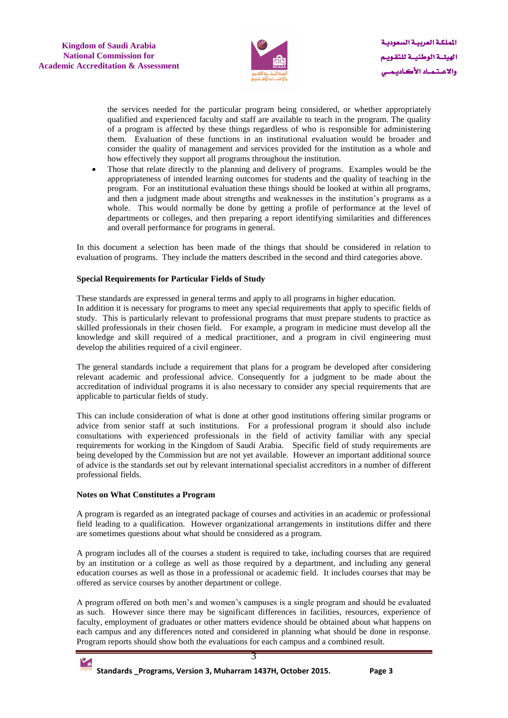

the services needed for the particular program being considered, or whether appropriately qualified and experienced faculty and staff are available to teach in the program. The quality of a program is affected by these things regardless of who is responsible for administering them. Evaluation of these functions in an institutional evaluation would be broader and consider the quality of management and services provided for the institution as a whole and how effectively they support all programs throughout the institution.

 Those that relate directly to the planning and delivery of programs. Examples would be the appropriateness of intended learning outcomes for students and the quality of teaching in the program. For an institutional evaluation these things should be looked at within all programs, and then a judgment made about strengths and weaknesses in the institution's programs as a whole. This would normally be done by getting a profile of performance at the level of departments or colleges, and then preparing a report identifying similarities and differences and overall performance for programs in general.

In this document a selection has been made of the things that should be considered in relation to evaluation of programs. They include the matters described in the second and third categories above.

#### **Special Requirements for Particular Fields of Study**

These standards are expressed in general terms and apply to all programs in higher education. In addition it is necessary for programs to meet any special requirements that apply to specific fields of study. This is particularly relevant to professional programs that must prepare students to practice as skilled professionals in their chosen field. For example, a program in medicine must develop all the knowledge and skill required of a medical practitioner, and a program in civil engineering must develop the abilities required of a civil engineer.

The general standards include a requirement that plans for a program be developed after considering relevant academic and professional advice. Consequently for a judgment to be made about the accreditation of individual programs it is also necessary to consider any special requirements that are applicable to particular fields of study.

This can include consideration of what is done at other good institutions offering similar programs or advice from senior staff at such institutions. For a professional program it should also include consultations with experienced professionals in the field of activity familiar with any special requirements for working in the Kingdom of Saudi Arabia. Specific field of study requirements are being developed by the Commission but are not yet available. However an important additional source of advice is the standards set out by relevant international specialist accreditors in a number of different professional fields.

#### **Notes on What Constitutes a Program**

A program is regarded as an integrated package of courses and activities in an academic or professional field leading to a qualification. However organizational arrangements in institutions differ and there are sometimes questions about what should be considered as a program.

A program includes all of the courses a student is required to take, including courses that are required by an institution or a college as well as those required by a department, and including any general education courses as well as those in a professional or academic field. It includes courses that may be offered as service courses by another department or college.

A program offered on both men's and women's campuses is a single program and should be evaluated as such. However since there may be significant differences in facilities, resources, experience of faculty, employment of graduates or other matters evidence should be obtained about what happens on each campus and any differences noted and considered in planning what should be done in response. Program reports should show both the evaluations for each campus and a combined result.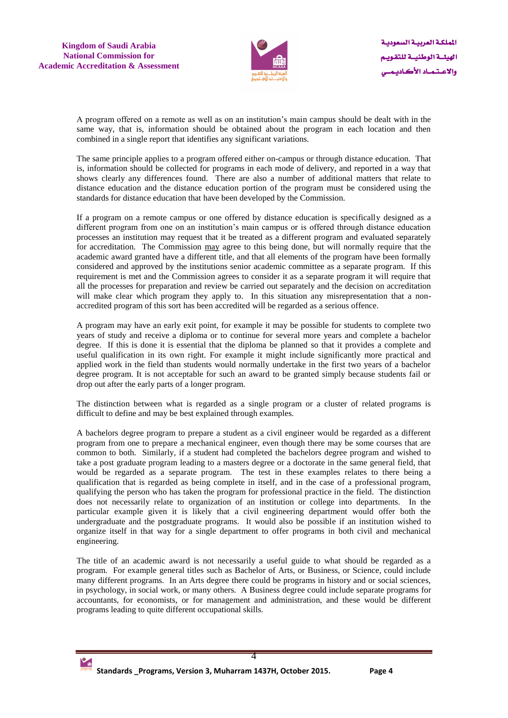

A program offered on a remote as well as on an institution's main campus should be dealt with in the same way, that is, information should be obtained about the program in each location and then combined in a single report that identifies any significant variations.

The same principle applies to a program offered either on-campus or through distance education. That is, information should be collected for programs in each mode of delivery, and reported in a way that shows clearly any differences found. There are also a number of additional matters that relate to distance education and the distance education portion of the program must be considered using the standards for distance education that have been developed by the Commission.

If a program on a remote campus or one offered by distance education is specifically designed as a different program from one on an institution's main campus or is offered through distance education processes an institution may request that it be treated as a different program and evaluated separately for accreditation. The Commission may agree to this being done, but will normally require that the academic award granted have a different title, and that all elements of the program have been formally considered and approved by the institutions senior academic committee as a separate program. If this requirement is met and the Commission agrees to consider it as a separate program it will require that all the processes for preparation and review be carried out separately and the decision on accreditation will make clear which program they apply to. In this situation any misrepresentation that a nonaccredited program of this sort has been accredited will be regarded as a serious offence.

A program may have an early exit point, for example it may be possible for students to complete two years of study and receive a diploma or to continue for several more years and complete a bachelor degree. If this is done it is essential that the diploma be planned so that it provides a complete and useful qualification in its own right. For example it might include significantly more practical and applied work in the field than students would normally undertake in the first two years of a bachelor degree program. It is not acceptable for such an award to be granted simply because students fail or drop out after the early parts of a longer program.

The distinction between what is regarded as a single program or a cluster of related programs is difficult to define and may be best explained through examples.

A bachelors degree program to prepare a student as a civil engineer would be regarded as a different program from one to prepare a mechanical engineer, even though there may be some courses that are common to both. Similarly, if a student had completed the bachelors degree program and wished to take a post graduate program leading to a masters degree or a doctorate in the same general field, that would be regarded as a separate program. The test in these examples relates to there being a qualification that is regarded as being complete in itself, and in the case of a professional program, qualifying the person who has taken the program for professional practice in the field. The distinction does not necessarily relate to organization of an institution or college into departments. In the particular example given it is likely that a civil engineering department would offer both the undergraduate and the postgraduate programs. It would also be possible if an institution wished to organize itself in that way for a single department to offer programs in both civil and mechanical engineering.

The title of an academic award is not necessarily a useful guide to what should be regarded as a program. For example general titles such as Bachelor of Arts, or Business, or Science, could include many different programs. In an Arts degree there could be programs in history and or social sciences, in psychology, in social work, or many others. A Business degree could include separate programs for accountants, for economists, or for management and administration, and these would be different programs leading to quite different occupational skills.

7

**Standards \_Programs, Version 3, Muharram 1437H, October 2015. Page 4**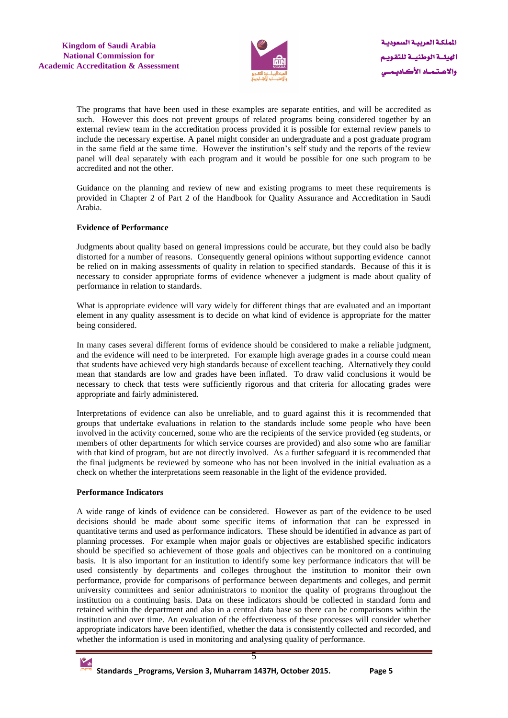

The programs that have been used in these examples are separate entities, and will be accredited as such. However this does not prevent groups of related programs being considered together by an external review team in the accreditation process provided it is possible for external review panels to include the necessary expertise. A panel might consider an undergraduate and a post graduate program in the same field at the same time. However the institution's self study and the reports of the review panel will deal separately with each program and it would be possible for one such program to be accredited and not the other.

Guidance on the planning and review of new and existing programs to meet these requirements is provided in Chapter 2 of Part 2 of the Handbook for Quality Assurance and Accreditation in Saudi Arabia.

#### **Evidence of Performance**

Judgments about quality based on general impressions could be accurate, but they could also be badly distorted for a number of reasons. Consequently general opinions without supporting evidence cannot be relied on in making assessments of quality in relation to specified standards. Because of this it is necessary to consider appropriate forms of evidence whenever a judgment is made about quality of performance in relation to standards.

What is appropriate evidence will vary widely for different things that are evaluated and an important element in any quality assessment is to decide on what kind of evidence is appropriate for the matter being considered.

In many cases several different forms of evidence should be considered to make a reliable judgment, and the evidence will need to be interpreted. For example high average grades in a course could mean that students have achieved very high standards because of excellent teaching. Alternatively they could mean that standards are low and grades have been inflated. To draw valid conclusions it would be necessary to check that tests were sufficiently rigorous and that criteria for allocating grades were appropriate and fairly administered.

Interpretations of evidence can also be unreliable, and to guard against this it is recommended that groups that undertake evaluations in relation to the standards include some people who have been involved in the activity concerned, some who are the recipients of the service provided (eg students, or members of other departments for which service courses are provided) and also some who are familiar with that kind of program, but are not directly involved. As a further safeguard it is recommended that the final judgments be reviewed by someone who has not been involved in the initial evaluation as a check on whether the interpretations seem reasonable in the light of the evidence provided.

#### **Performance Indicators**

A wide range of kinds of evidence can be considered. However as part of the evidence to be used decisions should be made about some specific items of information that can be expressed in quantitative terms and used as performance indicators. These should be identified in advance as part of planning processes. For example when major goals or objectives are established specific indicators should be specified so achievement of those goals and objectives can be monitored on a continuing basis. It is also important for an institution to identify some key performance indicators that will be used consistently by departments and colleges throughout the institution to monitor their own performance, provide for comparisons of performance between departments and colleges, and permit university committees and senior administrators to monitor the quality of programs throughout the institution on a continuing basis. Data on these indicators should be collected in standard form and retained within the department and also in a central data base so there can be comparisons within the institution and over time. An evaluation of the effectiveness of these processes will consider whether appropriate indicators have been identified, whether the data is consistently collected and recorded, and whether the information is used in monitoring and analysing quality of performance.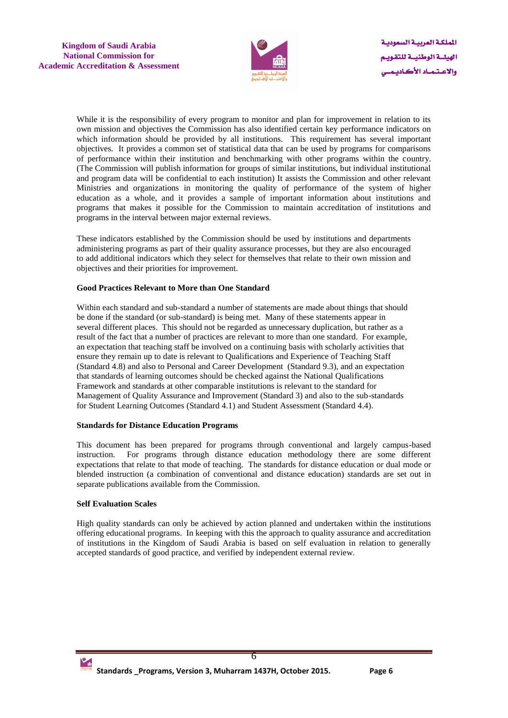

While it is the responsibility of every program to monitor and plan for improvement in relation to its own mission and objectives the Commission has also identified certain key performance indicators on which information should be provided by all institutions. This requirement has several important objectives. It provides a common set of statistical data that can be used by programs for comparisons of performance within their institution and benchmarking with other programs within the country. (The Commission will publish information for groups of similar institutions, but individual institutional and program data will be confidential to each institution) It assists the Commission and other relevant Ministries and organizations in monitoring the quality of performance of the system of higher education as a whole, and it provides a sample of important information about institutions and programs that makes it possible for the Commission to maintain accreditation of institutions and programs in the interval between major external reviews.

These indicators established by the Commission should be used by institutions and departments administering programs as part of their quality assurance processes, but they are also encouraged to add additional indicators which they select for themselves that relate to their own mission and objectives and their priorities for improvement.

#### **Good Practices Relevant to More than One Standard**

Within each standard and sub-standard a number of statements are made about things that should be done if the standard (or sub-standard) is being met. Many of these statements appear in several different places. This should not be regarded as unnecessary duplication, but rather as a result of the fact that a number of practices are relevant to more than one standard. For example, an expectation that teaching staff be involved on a continuing basis with scholarly activities that ensure they remain up to date is relevant to Qualifications and Experience of Teaching Staff (Standard 4.8) and also to Personal and Career Development (Standard 9.3), and an expectation that standards of learning outcomes should be checked against the National Qualifications Framework and standards at other comparable institutions is relevant to the standard for Management of Quality Assurance and Improvement (Standard 3) and also to the sub-standards for Student Learning Outcomes (Standard 4.1) and Student Assessment (Standard 4.4).

#### **Standards for Distance Education Programs**

This document has been prepared for programs through conventional and largely campus-based instruction. For programs through distance education methodology there are some different expectations that relate to that mode of teaching. The standards for distance education or dual mode or blended instruction (a combination of conventional and distance education) standards are set out in separate publications available from the Commission.

#### **Self Evaluation Scales**

High quality standards can only be achieved by action planned and undertaken within the institutions offering educational programs. In keeping with this the approach to quality assurance and accreditation of institutions in the Kingdom of Saudi Arabia is based on self evaluation in relation to generally accepted standards of good practice, and verified by independent external review.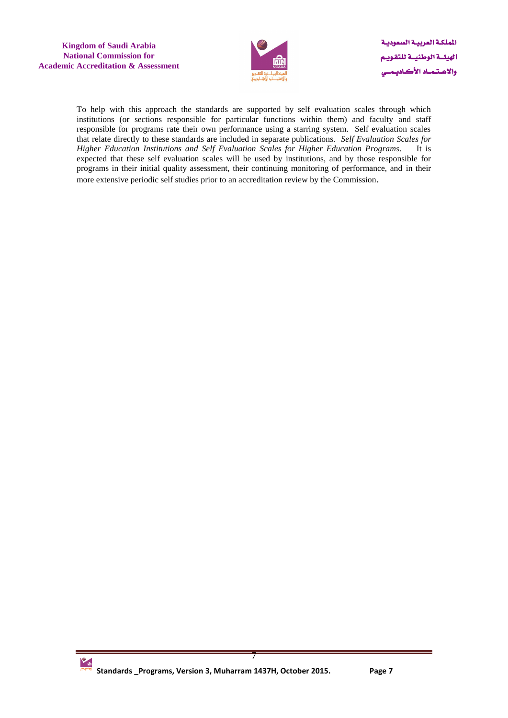

To help with this approach the standards are supported by self evaluation scales through which institutions (or sections responsible for particular functions within them) and faculty and staff responsible for programs rate their own performance using a starring system. Self evaluation scales that relate directly to these standards are included in separate publications. *Self Evaluation Scales for Higher Education Institutions and Self Evaluation Scales for Higher Education Programs*. It is expected that these self evaluation scales will be used by institutions, and by those responsible for programs in their initial quality assessment, their continuing monitoring of performance, and in their more extensive periodic self studies prior to an accreditation review by the Commission.

LA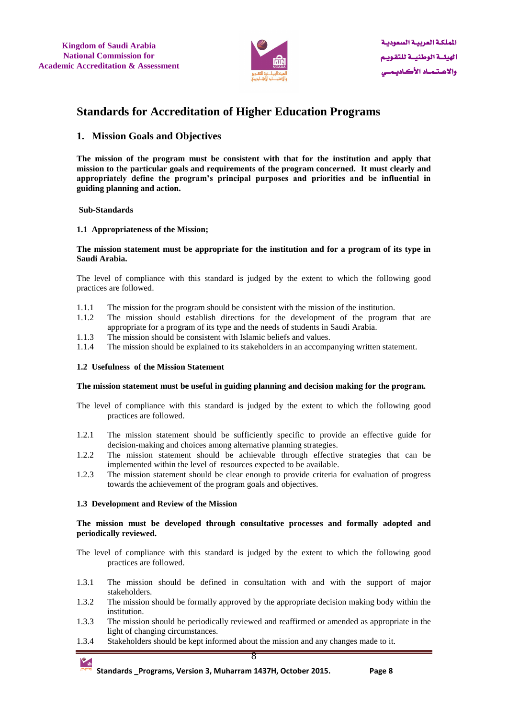

## **Standards for Accreditation of Higher Education Programs**

## **1. Mission Goals and Objectives**

**The mission of the program must be consistent with that for the institution and apply that mission to the particular goals and requirements of the program concerned. It must clearly and appropriately define the program's principal purposes and priorities and be influential in guiding planning and action.**

#### **Sub-Standards**

#### **1.1 Appropriateness of the Mission;**

#### **The mission statement must be appropriate for the institution and for a program of its type in Saudi Arabia.**

The level of compliance with this standard is judged by the extent to which the following good practices are followed.

- 1.1.1 The mission for the program should be consistent with the mission of the institution.
- 1.1.2 The mission should establish directions for the development of the program that are appropriate for a program of its type and the needs of students in Saudi Arabia.
- 1.1.3 The mission should be consistent with Islamic beliefs and values.
- 1.1.4 The mission should be explained to its stakeholders in an accompanying written statement.

#### **1.2 Usefulness of the Mission Statement**

#### **The mission statement must be useful in guiding planning and decision making for the program.**

- The level of compliance with this standard is judged by the extent to which the following good practices are followed.
- 1.2.1 The mission statement should be sufficiently specific to provide an effective guide for decision-making and choices among alternative planning strategies.
- 1.2.2 The mission statement should be achievable through effective strategies that can be implemented within the level of resources expected to be available.
- 1.2.3 The mission statement should be clear enough to provide criteria for evaluation of progress towards the achievement of the program goals and objectives.

#### **1.3 Development and Review of the Mission**

LA

#### **The mission must be developed through consultative processes and formally adopted and periodically reviewed.**

- The level of compliance with this standard is judged by the extent to which the following good practices are followed.
- 1.3.1 The mission should be defined in consultation with and with the support of major stakeholders.
- 1.3.2 The mission should be formally approved by the appropriate decision making body within the institution.
- 1.3.3 The mission should be periodically reviewed and reaffirmed or amended as appropriate in the light of changing circumstances.
- 1.3.4 Stakeholders should be kept informed about the mission and any changes made to it.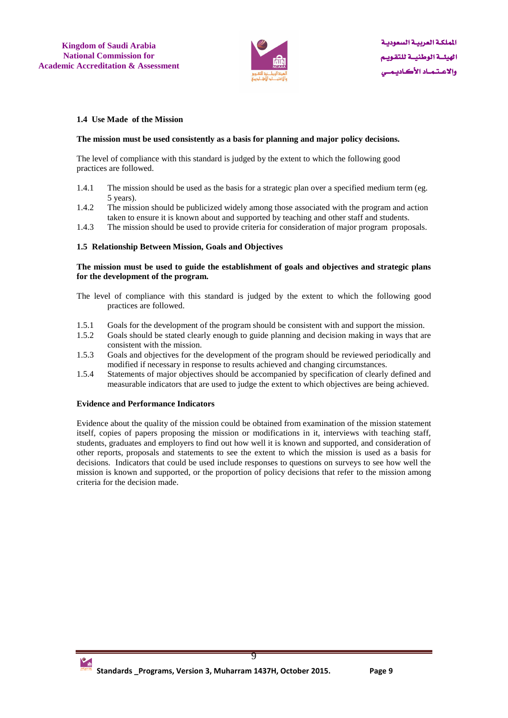

#### **1.4 Use Made of the Mission**

#### **The mission must be used consistently as a basis for planning and major policy decisions.**

The level of compliance with this standard is judged by the extent to which the following good practices are followed.

- 1.4.1 The mission should be used as the basis for a strategic plan over a specified medium term (eg. 5 years).
- 1.4.2 The mission should be publicized widely among those associated with the program and action taken to ensure it is known about and supported by teaching and other staff and students.
- 1.4.3 The mission should be used to provide criteria for consideration of major program proposals.

#### **1.5 Relationship Between Mission, Goals and Objectives**

#### **The mission must be used to guide the establishment of goals and objectives and strategic plans for the development of the program.**

- The level of compliance with this standard is judged by the extent to which the following good practices are followed.
- 1.5.1 Goals for the development of the program should be consistent with and support the mission.
- 1.5.2 Goals should be stated clearly enough to guide planning and decision making in ways that are consistent with the mission.
- 1.5.3 Goals and objectives for the development of the program should be reviewed periodically and modified if necessary in response to results achieved and changing circumstances.
- 1.5.4 Statements of major objectives should be accompanied by specification of clearly defined and measurable indicators that are used to judge the extent to which objectives are being achieved.

#### **Evidence and Performance Indicators**

Evidence about the quality of the mission could be obtained from examination of the mission statement itself, copies of papers proposing the mission or modifications in it, interviews with teaching staff, students, graduates and employers to find out how well it is known and supported, and consideration of other reports, proposals and statements to see the extent to which the mission is used as a basis for decisions. Indicators that could be used include responses to questions on surveys to see how well the mission is known and supported, or the proportion of policy decisions that refer to the mission among criteria for the decision made.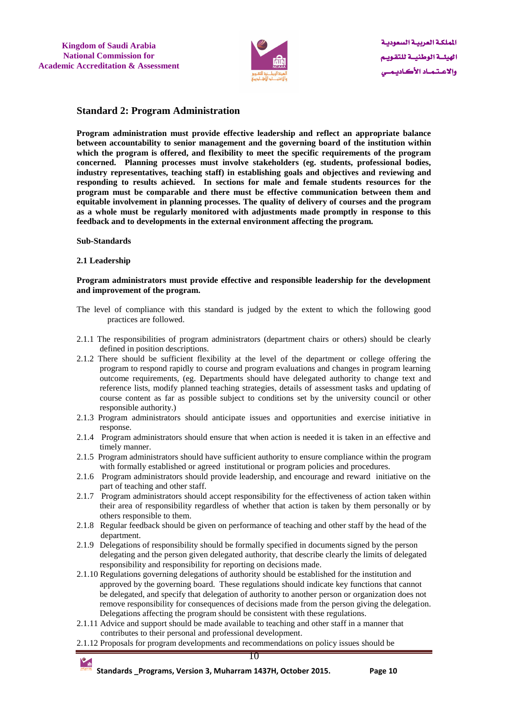

## **Standard 2: Program Administration**

**Program administration must provide effective leadership and reflect an appropriate balance between accountability to senior management and the governing board of the institution within which the program is offered, and flexibility to meet the specific requirements of the program concerned. Planning processes must involve stakeholders (eg. students, professional bodies, industry representatives, teaching staff) in establishing goals and objectives and reviewing and responding to results achieved. In sections for male and female students resources for the program must be comparable and there must be effective communication between them and equitable involvement in planning processes. The quality of delivery of courses and the program as a whole must be regularly monitored with adjustments made promptly in response to this feedback and to developments in the external environment affecting the program.**

#### **Sub-Standards**

#### **2.1 Leadership**

#### **Program administrators must provide effective and responsible leadership for the development and improvement of the program.**

- The level of compliance with this standard is judged by the extent to which the following good practices are followed.
- 2.1.1 The responsibilities of program administrators (department chairs or others) should be clearly defined in position descriptions.
- 2.1.2 There should be sufficient flexibility at the level of the department or college offering the program to respond rapidly to course and program evaluations and changes in program learning outcome requirements, (eg. Departments should have delegated authority to change text and reference lists, modify planned teaching strategies, details of assessment tasks and updating of course content as far as possible subject to conditions set by the university council or other responsible authority.)
- 2.1.3 Program administrators should anticipate issues and opportunities and exercise initiative in response.
- 2.1.4 Program administrators should ensure that when action is needed it is taken in an effective and timely manner.
- 2.1.5 Program administrators should have sufficient authority to ensure compliance within the program with formally established or agreed institutional or program policies and procedures.
- 2.1.6 Program administrators should provide leadership, and encourage and reward initiative on the part of teaching and other staff.
- 2.1.7 Program administrators should accept responsibility for the effectiveness of action taken within their area of responsibility regardless of whether that action is taken by them personally or by others responsible to them.
- 2.1.8 Regular feedback should be given on performance of teaching and other staff by the head of the department.
- 2.1.9 Delegations of responsibility should be formally specified in documents signed by the person delegating and the person given delegated authority, that describe clearly the limits of delegated responsibility and responsibility for reporting on decisions made.
- 2.1.10 Regulations governing delegations of authority should be established for the institution and approved by the governing board. These regulations should indicate key functions that cannot be delegated, and specify that delegation of authority to another person or organization does not remove responsibility for consequences of decisions made from the person giving the delegation. Delegations affecting the program should be consistent with these regulations.

- 2.1.11 Advice and support should be made available to teaching and other staff in a manner that contributes to their personal and professional development.
- 2.1.12 Proposals for program developments and recommendations on policy issues should be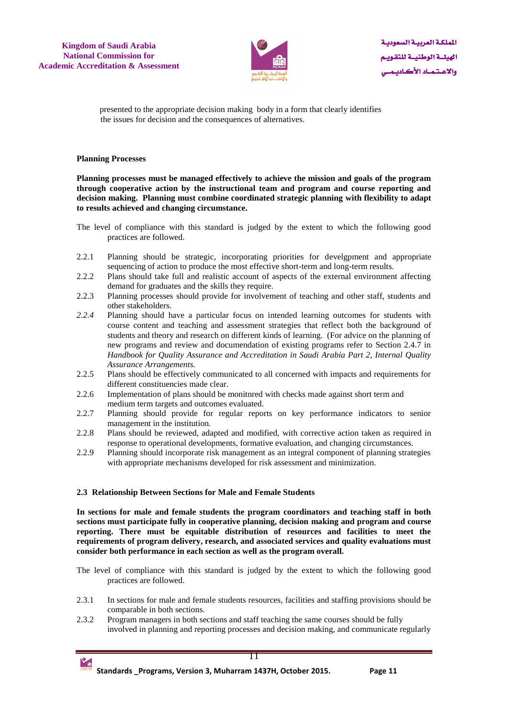

presented to the appropriate decision making body in a form that clearly identifies the issues for decision and the consequences of alternatives.

#### **Planning Processes**

**Planning processes must be managed effectively to achieve the mission and goals of the program through cooperative action by the instructional team and program and course reporting and decision making. Planning must combine coordinated strategic planning with flexibility to adapt to results achieved and changing circumstance.** 

- The level of compliance with this standard is judged by the extent to which the following good practices are followed.
- 2.2.1 Planning should be strategic, incorporating priorities for develgpment and appropriate sequencing of action to produce the most effective short-term and long-term results.
- 2.2.2 Plans should take full and realistic account of aspects of the external environment affecting demand for graduates and the skills they require.
- 2.2.3 Planning processes should provide for involvement of teaching and other staff, students and other stakeholders.
- *2.2.4* Planning should have a particular focus on intended learning outcomes for students with course content and teaching and assessment strategies that reflect both the background of students and theory and research on different kinds of learning. (For advice on the planning of new programs and review and documendation of existing programs refer to Section 2.4.7 in *Handbook for Quality Assurance and Accreditation in Saudi Arabia Part 2, Internal Quality Assurance Arrangements.*
- 2.2.5 Plans should be effectively communicated to all concerned with impacts and requirements for different constituencies made clear.
- 2.2.6 Implementation of plans should be monitnred with checks made against short term and medium term targets and outcomes evaluated.
- 2.2.7 Planning should provide for regular reports on key performance indicators to senior management in the institution.
- 2.2.8 Plans should be reviewed, adapted and modified, with corrective action taken as required in response to operational developments, formative evaluation, and changing circumstances.
- 2.2.9 Planning should incorporate risk management as an integral component of planning strategies with appropriate mechanisms developed for risk assessment and minimization.

#### **2.3 Relationship Between Sections for Male and Female Students**

**In sections for male and female students the program coordinators and teaching staff in both sections must participate fully in cooperative planning, decision making and program and course reporting. There must be equitable distribution of resources and facilities to meet the requirements of program delivery, research, and associated services and quality evaluations must consider both performance in each section as well as the program overall.** 

The level of compliance with this standard is judged by the extent to which the following good practices are followed.

- 2.3.1 In sections for male and female students resources, facilities and staffing provisions should be comparable in both sections.
- 2.3.2 Program managers in both sections and staff teaching the same courses should be fully involved in planning and reporting processes and decision making, and communicate regularly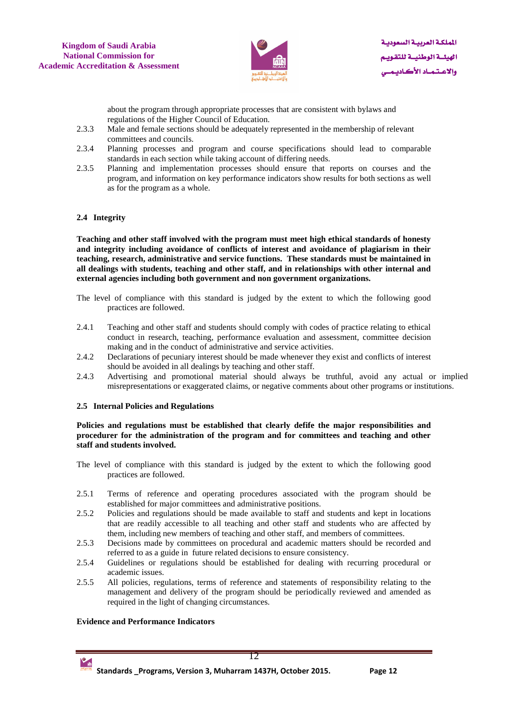

about the program through appropriate processes that are consistent with bylaws and regulations of the Higher Council of Education.

- 2.3.3 Male and female sections should be adequately represented in the membership of relevant committees and councils.
- 2.3.4 Planning processes and program and course specifications should lead to comparable standards in each section while taking account of differing needs.
- 2.3.5 Planning and implementation processes should ensure that reports on courses and the program, and information on key performance indicators show results for both sections as well as for the program as a whole.

#### **2.4 Integrity**

**Teaching and other staff involved with the program must meet high ethical standards of honesty and integrity including avoidance of conflicts of interest and avoidance of plagiarism in their teaching, research, administrative and service functions. These standards must be maintained in all dealings with students, teaching and other staff, and in relationships with other internal and external agencies including both government and non government organizations.** 

- The level of compliance with this standard is judged by the extent to which the following good practices are followed.
- 2.4.1 Teaching and other staff and students should comply with codes of practice relating to ethical conduct in research, teaching, performance evaluation and assessment, committee decision making and in the conduct of administrative and service activities.
- 2.4.2 Declarations of pecuniary interest should be made whenever they exist and conflicts of interest should be avoided in all dealings by teaching and other staff.
- 2.4.3 Advertising and promotional material should always be truthful, avoid any actual or implied misrepresentations or exaggerated claims, or negative comments about other programs or institutions.

#### **2.5 Internal Policies and Regulations**

**Policies and regulations must be established that clearly defife the major responsibilities and procedurer for the administration of the program and for committees and teaching and other staff and students involved.** 

- The level of compliance with this standard is judged by the extent to which the following good practices are followed.
- 2.5.1 Terms of reference and operating procedures associated with the program should be established for major committees and administrative positions.
- 2.5.2 Policies and regulations should be made available to staff and students and kept in locations that are readily accessible to all teaching and other staff and students who are affected by them, including new members of teaching and other staff, and members of committees.
- 2.5.3 Decisions made by committees on procedural and academic matters should be recorded and referred to as a guide in future related decisions to ensure consistency.
- 2.5.4 Guidelines or regulations should be established for dealing with recurring procedural or academic issues.
- 2.5.5 All policies, regulations, terms of reference and statements of responsibility relating to the management and delivery of the program should be periodically reviewed and amended as required in the light of changing circumstances.

#### **Evidence and Performance Indicators**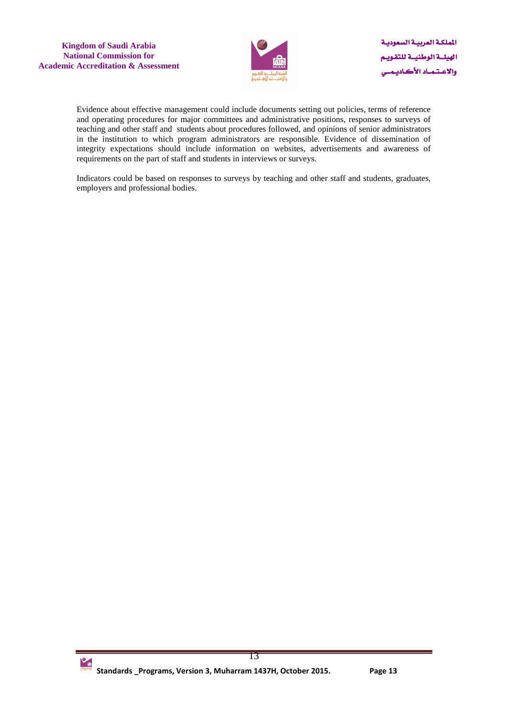

Evidence about effective management could include documents setting out policies, terms of reference and operating procedures for major committees and administrative positions, responses to surveys of teaching and other staff and students about procedures followed, and opinions of senior administrators in the institution to which program administrators are responsible. Evidence of dissemination of integrity expectations should include information on websites, advertisements and awareness of requirements on the part of staff and students in interviews or surveys.

Indicators could be based on responses to surveys by teaching and other staff and students, graduates, employers and professional bodies.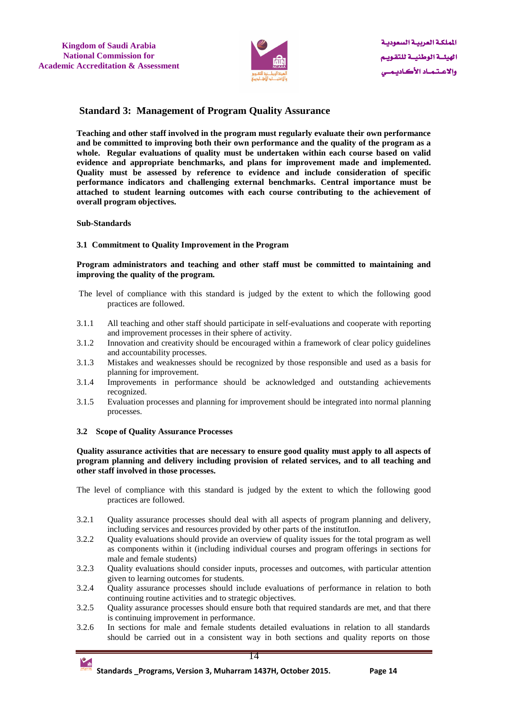

## **Standard 3: Management of Program Quality Assurance**

**Teaching and other staff involved in the program must regularly evaluate their own performance and be committed to improving both their own performance and the quality of the program as a whole. Regular evaluations of quality must be undertaken within each course based on valid evidence and appropriate benchmarks, and plans for improvement made and implemented. Quality must be assessed by reference to evidence and include consideration of specific performance indicators and challenging external benchmarks. Central importance must be attached to student learning outcomes with each course contributing to the achievement of overall program objectives.**

#### **Sub-Standards**

#### **3.1 Commitment to Quality Improvement in the Program**

#### **Program administrators and teaching and other staff must be committed to maintaining and improving the quality of the program.**

- The level of compliance with this standard is judged by the extent to which the following good practices are followed.
- 3.1.1 All teaching and other staff should participate in self-evaluations and cooperate with reporting and improvement processes in their sphere of activity.
- 3.1.2 Innovation and creativity should be encouraged within a framework of clear policy guidelines and accountability processes.
- 3.1.3 Mistakes and weaknesses should be recognized by those responsible and used as a basis for planning for improvement.
- 3.1.4 Improvements in performance should be acknowledged and outstanding achievements recognized.
- 3.1.5 Evaluation processes and planning for improvement should be integrated into normal planning processes.

#### **3.2 Scope of Quality Assurance Processes**

#### **Quality assurance activities that are necessary to ensure good quality must apply to all aspects of program planning and delivery including provision of related services, and to all teaching and other staff involved in those processes.**

- The level of compliance with this standard is judged by the extent to which the following good practices are followed.
- 3.2.1 Quality assurance processes should deal with all aspects of program planning and delivery, including services and resources provided by other parts of the institution.
- 3.2.2 Quality evaluations should provide an overview of quality issues for the total program as well as components within it (including individual courses and program offerings in sections for male and female students)
- 3.2.3 Quality evaluations should consider inputs, processes and outcomes, with particular attention given to learning outcomes for students.
- 3.2.4 Quality assurance processes should include evaluations of performance in relation to both continuing routine activities and to strategic objectives.
- 3.2.5 Quality assurance processes should ensure both that required standards are met, and that there is continuing improvement in performance.
- 3.2.6 In sections for male and female students detailed evaluations in relation to all standards should be carried out in a consistent way in both sections and quality reports on those

 $\overline{\mathbf{1} \mathbf{4}}$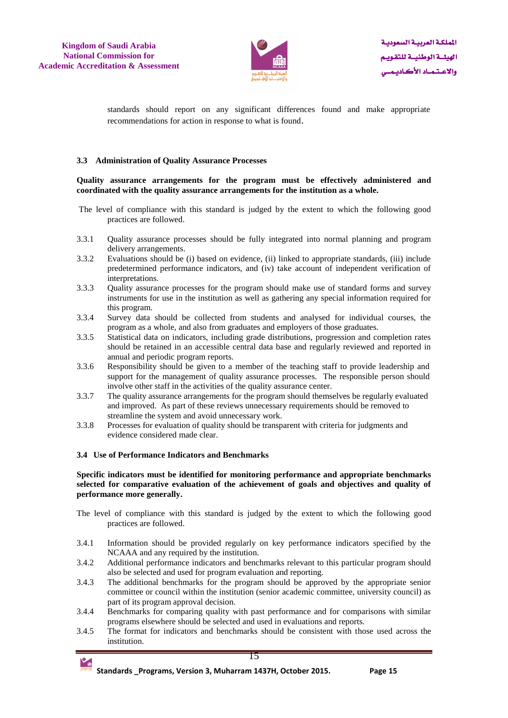

standards should report on any significant differences found and make appropriate recommendations for action in response to what is found.

#### **3.3 Administration of Quality Assurance Processes**

**Quality assurance arrangements for the program must be effectively administered and coordinated with the quality assurance arrangements for the institution as a whole.**

- The level of compliance with this standard is judged by the extent to which the following good practices are followed.
- 3.3.1 Quality assurance processes should be fully integrated into normal planning and program delivery arrangements.
- 3.3.2 Evaluations should be (i) based on evidence, (ii) linked to appropriate standards, (iii) include predetermined performance indicators, and (iv) take account of independent verification of interpretations.
- 3.3.3 Quality assurance processes for the program should make use of standard forms and survey instruments for use in the institution as well as gathering any special information required for this program.
- 3.3.4 Survey data should be collected from students and analysed for individual courses, the program as a whole, and also from graduates and employers of those graduates.
- 3.3.5 Statistical data on indicators, including grade distributions, progression and completion rates should be retained in an accessible central data base and regularly reviewed and reported in annual and periodic program reports.
- 3.3.6 Responsibility should be given to a member of the teaching staff to provide leadership and support for the management of quality assurance processes. The responsible person should involve other staff in the activities of the quality assurance center.
- 3.3.7 The quality assurance arrangements for the program should themselves be regularly evaluated and improved. As part of these reviews unnecessary requirements should be removed to streamline the system and avoid unnecessary work.
- 3.3.8 Processes for evaluation of quality should be transparent with criteria for judgments and evidence considered made clear.

#### **3.4 Use of Performance Indicators and Benchmarks**

#### **Specific indicators must be identified for monitoring performance and appropriate benchmarks selected for comparative evaluation of the achievement of goals and objectives and quality of performance more generally.**

- The level of compliance with this standard is judged by the extent to which the following good practices are followed.
- 3.4.1 Information should be provided regularly on key performance indicators specified by the NCAAA and any required by the institution.
- 3.4.2 Additional performance indicators and benchmarks relevant to this particular program should also be selected and used for program evaluation and reporting.
- 3.4.3 The additional benchmarks for the program should be approved by the appropriate senior committee or council within the institution (senior academic committee, university council) as part of its program approval decision.
- 3.4.4 Benchmarks for comparing quality with past performance and for comparisons with similar programs elsewhere should be selected and used in evaluations and reports.
- 3.4.5 The format for indicators and benchmarks should be consistent with those used across the institution.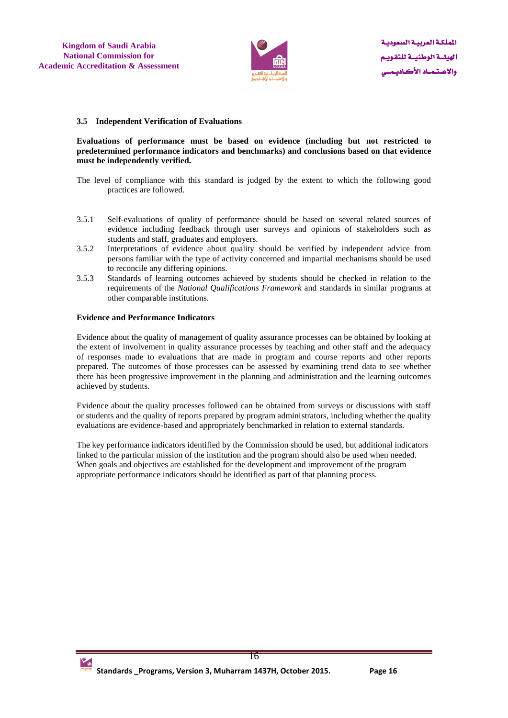

#### **3.5 Independent Verification of Evaluations**

#### **Evaluations of performance must be based on evidence (including but not restricted to predetermined performance indicators and benchmarks) and conclusions based on that evidence must be independently verified.**

- The level of compliance with this standard is judged by the extent to which the following good practices are followed.
- 3.5.1 Self-evaluations of quality of performance should be based on several related sources of evidence including feedback through user surveys and opinions of stakeholders such as students and staff, graduates and employers.
- 3.5.2 Interpretations of evidence about quality should be verified by independent advice from persons familiar with the type of activity concerned and impartial mechanisms should be used to reconcile any differing opinions.
- 3.5.3 Standards of learning outcomes achieved by students should be checked in relation to the requirements of the *National Qualifications Framework* and standards in similar programs at other comparable institutions.

#### **Evidence and Performance Indicators**

Evidence about the quality of management of quality assurance processes can be obtained by looking at the extent of involvement in quality assurance processes by teaching and other staff and the adequacy of responses made to evaluations that are made in program and course reports and other reports prepared. The outcomes of those processes can be assessed by examining trend data to see whether there has been progressive improvement in the planning and administration and the learning outcomes achieved by students.

Evidence about the quality processes followed can be obtained from surveys or discussions with staff or students and the quality of reports prepared by program administrators, including whether the quality evaluations are evidence-based and appropriately benchmarked in relation to external standards.

The key performance indicators identified by the Commission should be used, but additional indicators linked to the particular mission of the institution and the program should also be used when needed. When goals and objectives are established for the development and improvement of the program appropriate performance indicators should be identified as part of that planning process.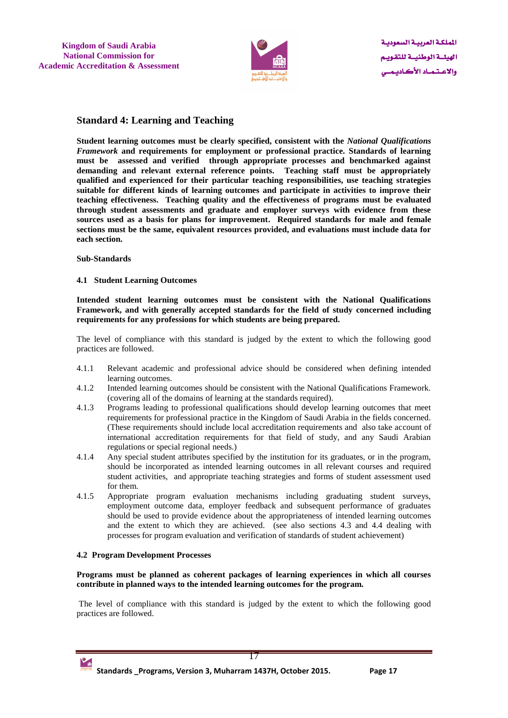

## **Standard 4: Learning and Teaching**

**Student learning outcomes must be clearly specified, consistent with the** *National Qualifications Framework* **and requirements for employment or professional practice. Standards of learning must be assessed and verified through appropriate processes and benchmarked against demanding and relevant external reference points. Teaching staff must be appropriately qualified and experienced for their particular teaching responsibilities, use teaching strategies suitable for different kinds of learning outcomes and participate in activities to improve their teaching effectiveness. Teaching quality and the effectiveness of programs must be evaluated through student assessments and graduate and employer surveys with evidence from these sources used as a basis for plans for improvement. Required standards for male and female sections must be the same, equivalent resources provided, and evaluations must include data for each section.**

#### **Sub-Standards**

#### **4.1 Student Learning Outcomes**

**Intended student learning outcomes must be consistent with the National Qualifications Framework, and with generally accepted standards for the field of study concerned including requirements for any professions for which students are being prepared.** 

The level of compliance with this standard is judged by the extent to which the following good practices are followed.

- 4.1.1 Relevant academic and professional advice should be considered when defining intended learning outcomes.
- 4.1.2 Intended learning outcomes should be consistent with the National Qualifications Framework. (covering all of the domains of learning at the standards required).
- 4.1.3 Programs leading to professional qualifications should develop learning outcomes that meet requirements for professional practice in the Kingdom of Saudi Arabia in the fields concerned. (These requirements should include local accreditation requirements and also take account of international accreditation requirements for that field of study, and any Saudi Arabian regulations or special regional needs.)
- 4.1.4 Any special student attributes specified by the institution for its graduates, or in the program, should be incorporated as intended learning outcomes in all relevant courses and required student activities, and appropriate teaching strategies and forms of student assessment used for them.
- 4.1.5 Appropriate program evaluation mechanisms including graduating student surveys, employment outcome data, employer feedback and subsequent performance of graduates should be used to provide evidence about the appropriateness of intended learning outcomes and the extent to which they are achieved. (see also sections 4.3 and 4.4 dealing with processes for program evaluation and verification of standards of student achievement)

#### **4.2 Program Development Processes**

**Programs must be planned as coherent packages of learning experiences in which all courses contribute in planned ways to the intended learning outcomes for the program.** 

The level of compliance with this standard is judged by the extent to which the following good practices are followed.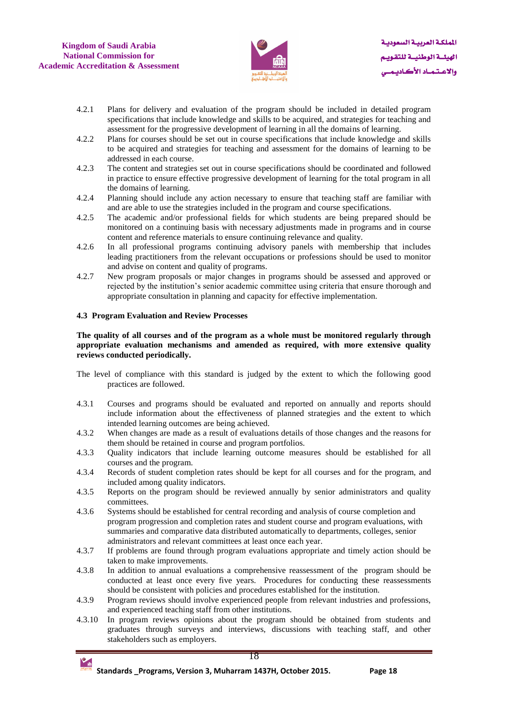

- 4.2.1 Plans for delivery and evaluation of the program should be included in detailed program specifications that include knowledge and skills to be acquired, and strategies for teaching and assessment for the progressive development of learning in all the domains of learning.
- 4.2.2 Plans for courses should be set out in course specifications that include knowledge and skills to be acquired and strategies for teaching and assessment for the domains of learning to be addressed in each course.
- 4.2.3 The content and strategies set out in course specifications should be coordinated and followed in practice to ensure effective progressive development of learning for the total program in all the domains of learning.
- 4.2.4 Planning should include any action necessary to ensure that teaching staff are familiar with and are able to use the strategies included in the program and course specifications.
- 4.2.5 The academic and/or professional fields for which students are being prepared should be monitored on a continuing basis with necessary adjustments made in programs and in course content and reference materials to ensure continuing relevance and quality.
- 4.2.6 In all professional programs continuing advisory panels with membership that includes leading practitioners from the relevant occupations or professions should be used to monitor and advise on content and quality of programs.
- 4.2.7 New program proposals or major changes in programs should be assessed and approved or rejected by the institution's senior academic committee using criteria that ensure thorough and appropriate consultation in planning and capacity for effective implementation.

## **4.3 Program Evaluation and Review Processes**

#### **The quality of all courses and of the program as a whole must be monitored regularly through appropriate evaluation mechanisms and amended as required, with more extensive quality reviews conducted periodically.**

- The level of compliance with this standard is judged by the extent to which the following good practices are followed.
- 4.3.1 Courses and programs should be evaluated and reported on annually and reports should include information about the effectiveness of planned strategies and the extent to which intended learning outcomes are being achieved.
- 4.3.2 When changes are made as a result of evaluations details of those changes and the reasons for them should be retained in course and program portfolios.
- 4.3.3 Quality indicators that include learning outcome measures should be established for all courses and the program.
- 4.3.4 Records of student completion rates should be kept for all courses and for the program, and included among quality indicators.
- 4.3.5 Reports on the program should be reviewed annually by senior administrators and quality committees.
- 4.3.6 Systems should be established for central recording and analysis of course completion and program progression and completion rates and student course and program evaluations, with summaries and comparative data distributed automatically to departments, colleges, senior administrators and relevant committees at least once each year.
- 4.3.7 If problems are found through program evaluations appropriate and timely action should be taken to make improvements.
- 4.3.8 In addition to annual evaluations a comprehensive reassessment of the program should be conducted at least once every five years. Procedures for conducting these reassessments should be consistent with policies and procedures established for the institution.
- 4.3.9 Program reviews should involve experienced people from relevant industries and professions, and experienced teaching staff from other institutions.
- 4.3.10 In program reviews opinions about the program should be obtained from students and graduates through surveys and interviews, discussions with teaching staff, and other stakeholders such as employers.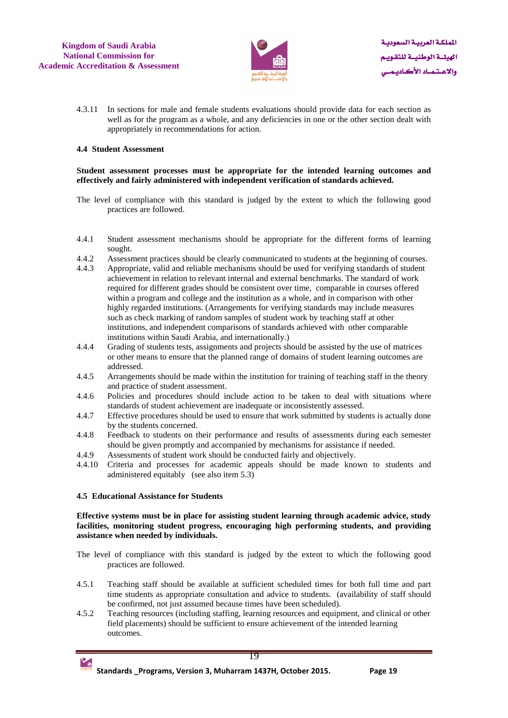

4.3.11 In sections for male and female students evaluations should provide data for each section as well as for the program as a whole, and any deficiencies in one or the other section dealt with appropriately in recommendations for action.

#### **4.4 Student Assessment**

#### **Student assessment processes must be appropriate for the intended learning outcomes and effectively and fairly administered with independent verification of standards achieved.**

- The level of compliance with this standard is judged by the extent to which the following good practices are followed.
- 4.4.1 Student assessment mechanisms should be appropriate for the different forms of learning sought.
- 4.4.2 Assessment practices should be clearly communicated to students at the beginning of courses.
- 4.4.3 Appropriate, valid and reliable mechanisms should be used for verifying standards of student achievement in relation to relevant internal and external benchmarks. The standard of work required for different grades should be consistent over time, comparable in courses offered within a program and college and the institution as a whole, and in comparison with other highly regarded institutions. (Arrangements for verifying standards may include measures such as check marking of random samples of student work by teaching staff at other institutions, and independent comparisons of standards achieved with other comparable institutions within Saudi Arabia, and internationally.)
- 4.4.4 Grading of students tests, assignments and projects should be assisted by the use of matrices or other means to ensure that the planned range of domains of student learning outcomes are addressed.
- 4.4.5 Arrangements should be made within the institution for training of teaching staff in the theory and practice of student assessment.
- 4.4.6 Policies and procedures should include action to be taken to deal with situations where standards of student achievement are inadequate or inconsistently assessed.
- 4.4.7 Effective procedures should be used to ensure that work submitted by students is actually done by the students concerned.
- 4.4.8 Feedback to students on their performance and results of assessments during each semester should be given promptly and accompanied by mechanisms for assistance if needed.
- 4.4.9 Assessments of student work should be conducted fairly and objectively.
- 4.4.10 Criteria and processes for academic appeals should be made known to students and administered equitably (see also item 5.3)

#### **4.5 Educational Assistance for Students**

#### **Effective systems must be in place for assisting student learning through academic advice, study facilities, monitoring student progress, encouraging high performing students, and providing assistance when needed by individuals.**

- The level of compliance with this standard is judged by the extent to which the following good practices are followed.
- 4.5.1 Teaching staff should be available at sufficient scheduled times for both full time and part time students as appropriate consultation and advice to students. (availability of staff should be confirmed, not just assumed because times have been scheduled).
- 4.5.2 Teaching resources (including staffing, learning resources and equipment, and clinical or other field placements) should be sufficient to ensure achievement of the intended learning outcomes.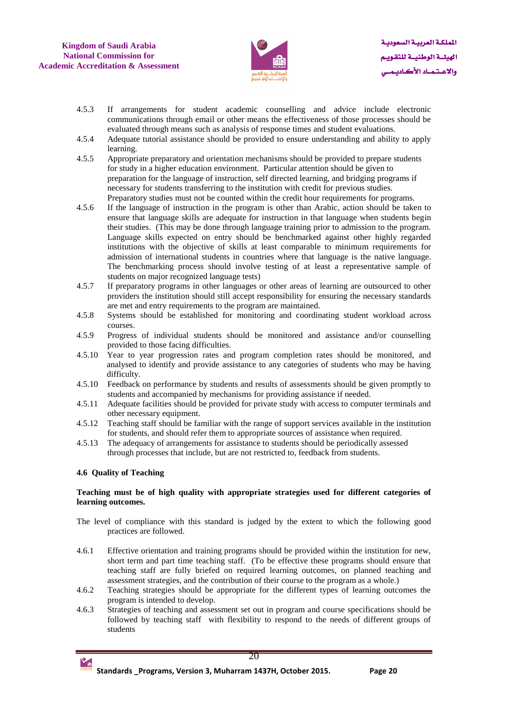

- 4.5.3 If arrangements for student academic counselling and advice include electronic communications through email or other means the effectiveness of those processes should be evaluated through means such as analysis of response times and student evaluations.
- 4.5.4 Adequate tutorial assistance should be provided to ensure understanding and ability to apply learning.
- 4.5.5 Appropriate preparatory and orientation mechanisms should be provided to prepare students for study in a higher education environment. Particular attention should be given to preparation for the language of instruction, self directed learning, and bridging programs if necessary for students transferring to the institution with credit for previous studies. Preparatory studies must not be counted within the credit hour requirements for programs.
- 4.5.6 If the language of instruction in the program is other than Arabic, action should be taken to ensure that language skills are adequate for instruction in that language when students begin their studies. (This may be done through language training prior to admission to the program. Language skills expected on entry should be benchmarked against other highly regarded institutions with the objective of skills at least comparable to minimum requirements for admission of international students in countries where that language is the native language. The benchmarking process should involve testing of at least a representative sample of students on major recognized language tests)
- 4.5.7 If preparatory programs in other languages or other areas of learning are outsourced to other providers the institution should still accept responsibility for ensuring the necessary standards are met and entry requirements to the program are maintained.
- 4.5.8 Systems should be established for monitoring and coordinating student workload across courses.
- 4.5.9 Progress of individual students should be monitored and assistance and/or counselling provided to those facing difficulties.
- 4.5.10 Year to year progression rates and program completion rates should be monitored, and analysed to identify and provide assistance to any categories of students who may be having difficulty.
- 4.5.10 Feedback on performance by students and results of assessments should be given promptly to students and accompanied by mechanisms for providing assistance if needed.
- 4.5.11 Adequate facilities should be provided for private study with access to computer terminals and other necessary equipment.
- 4.5.12 Teaching staff should be familiar with the range of support services available in the institution for students, and should refer them to appropriate sources of assistance when required.
- 4.5.13 The adequacy of arrangements for assistance to students should be periodically assessed through processes that include, but are not restricted to, feedback from students.

## **4.6 Quality of Teaching**

#### **Teaching must be of high quality with appropriate strategies used for different categories of learning outcomes.**

- The level of compliance with this standard is judged by the extent to which the following good practices are followed.
- 4.6.1 Effective orientation and training programs should be provided within the institution for new, short term and part time teaching staff. (To be effective these programs should ensure that teaching staff are fully briefed on required learning outcomes, on planned teaching and assessment strategies, and the contribution of their course to the program as a whole.)
- 4.6.2 Teaching strategies should be appropriate for the different types of learning outcomes the program is intended to develop.
- 4.6.3 Strategies of teaching and assessment set out in program and course specifications should be followed by teaching staff with flexibility to respond to the needs of different groups of students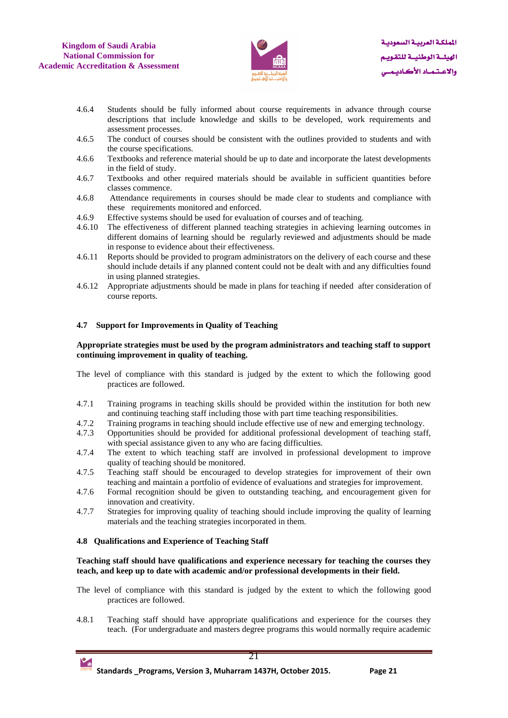

- 4.6.4 Students should be fully informed about course requirements in advance through course descriptions that include knowledge and skills to be developed, work requirements and assessment processes.
- 4.6.5 The conduct of courses should be consistent with the outlines provided to students and with the course specifications.
- 4.6.6 Textbooks and reference material should be up to date and incorporate the latest developments in the field of study.
- 4.6.7 Textbooks and other required materials should be available in sufficient quantities before classes commence.
- 4.6.8 Attendance requirements in courses should be made clear to students and compliance with these requirements monitored and enforced.
- 4.6.9 Effective systems should be used for evaluation of courses and of teaching.
- 4.6.10 The effectiveness of different planned teaching strategies in achieving learning outcomes in different domains of learning should be regularly reviewed and adjustments should be made in response to evidence about their effectiveness.
- 4.6.11 Reports should be provided to program administrators on the delivery of each course and these should include details if any planned content could not be dealt with and any difficulties found in using planned strategies.
- 4.6.12 Appropriate adjustments should be made in plans for teaching if needed after consideration of course reports.

## **4.7 Support for Improvements in Quality of Teaching**

#### **Appropriate strategies must be used by the program administrators and teaching staff to support continuing improvement in quality of teaching.**

- The level of compliance with this standard is judged by the extent to which the following good practices are followed.
- 4.7.1 Training programs in teaching skills should be provided within the institution for both new and continuing teaching staff including those with part time teaching responsibilities.
- 4.7.2 Training programs in teaching should include effective use of new and emerging technology.
- 4.7.3 Opportunities should be provided for additional professional development of teaching staff, with special assistance given to any who are facing difficulties.
- 4.7.4 The extent to which teaching staff are involved in professional development to improve quality of teaching should be monitored.
- 4.7.5 Teaching staff should be encouraged to develop strategies for improvement of their own teaching and maintain a portfolio of evidence of evaluations and strategies for improvement.
- 4.7.6 Formal recognition should be given to outstanding teaching, and encouragement given for innovation and creativity.
- 4.7.7 Strategies for improving quality of teaching should include improving the quality of learning materials and the teaching strategies incorporated in them.

#### **4.8 Qualifications and Experience of Teaching Staff**

#### **Teaching staff should have qualifications and experience necessary for teaching the courses they teach, and keep up to date with academic and/or professional developments in their field.**

- The level of compliance with this standard is judged by the extent to which the following good practices are followed.
- 4.8.1 Teaching staff should have appropriate qualifications and experience for the courses they teach. (For undergraduate and masters degree programs this would normally require academic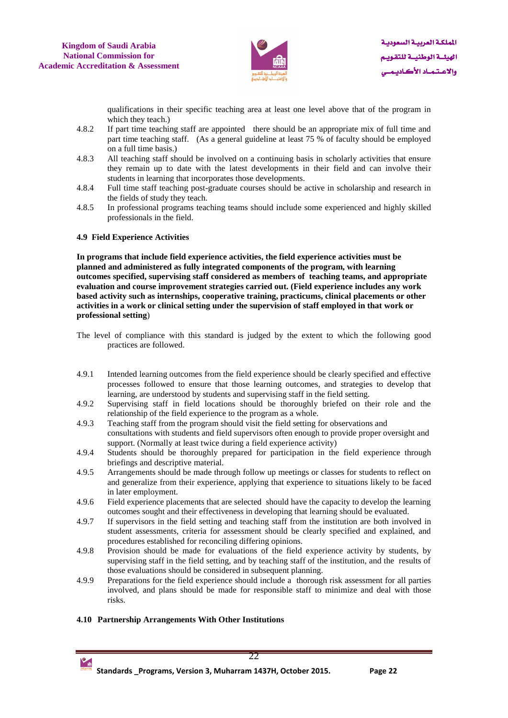

qualifications in their specific teaching area at least one level above that of the program in which they teach.)

- 4.8.2 If part time teaching staff are appointed there should be an appropriate mix of full time and part time teaching staff. (As a general guideline at least 75 % of faculty should be employed on a full time basis.)
- 4.8.3 All teaching staff should be involved on a continuing basis in scholarly activities that ensure they remain up to date with the latest developments in their field and can involve their students in learning that incorporates those developments.
- 4.8.4 Full time staff teaching post-graduate courses should be active in scholarship and research in the fields of study they teach.
- 4.8.5 In professional programs teaching teams should include some experienced and highly skilled professionals in the field.

#### **4.9 Field Experience Activities**

**In programs that include field experience activities, the field experience activities must be planned and administered as fully integrated components of the program, with learning outcomes specified, supervising staff considered as members of teaching teams, and appropriate evaluation and course improvement strategies carried out. (Field experience includes any work based activity such as internships, cooperative training, practicums, clinical placements or other activities in a work or clinical setting under the supervision of staff employed in that work or professional setting**)

- The level of compliance with this standard is judged by the extent to which the following good practices are followed.
- 4.9.1 Intended learning outcomes from the field experience should be clearly specified and effective processes followed to ensure that those learning outcomes, and strategies to develop that learning, are understood by students and supervising staff in the field setting.
- 4.9.2 Supervising staff in field locations should be thoroughly briefed on their role and the relationship of the field experience to the program as a whole.
- 4.9.3 Teaching staff from the program should visit the field setting for observations and consultations with students and field supervisors often enough to provide proper oversight and support. (Normally at least twice during a field experience activity)
- 4.9.4 Students should be thoroughly prepared for participation in the field experience through briefings and descriptive material.
- 4.9.5 Arrangements should be made through follow up meetings or classes for students to reflect on and generalize from their experience, applying that experience to situations likely to be faced in later employment.
- 4.9.6 Field experience placements that are selected should have the capacity to develop the learning outcomes sought and their effectiveness in developing that learning should be evaluated.
- 4.9.7 If supervisors in the field setting and teaching staff from the institution are both involved in student assessments, criteria for assessment should be clearly specified and explained, and procedures established for reconciling differing opinions.
- 4.9.8 Provision should be made for evaluations of the field experience activity by students, by supervising staff in the field setting, and by teaching staff of the institution, and the results of those evaluations should be considered in subsequent planning.
- 4.9.9 Preparations for the field experience should include a thorough risk assessment for all parties involved, and plans should be made for responsible staff to minimize and deal with those risks.

#### **4.10 Partnership Arrangements With Other Institutions**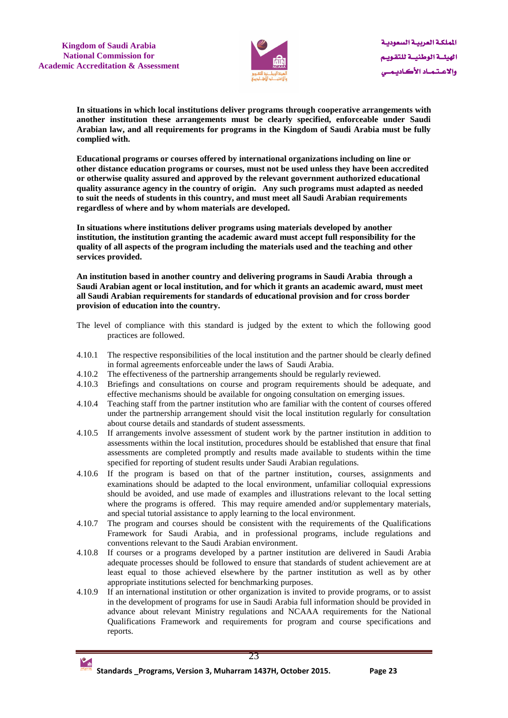

**In situations in which local institutions deliver programs through cooperative arrangements with another institution these arrangements must be clearly specified, enforceable under Saudi Arabian law, and all requirements for programs in the Kingdom of Saudi Arabia must be fully complied with.** 

**Educational programs or courses offered by international organizations including on line or other distance education programs or courses, must not be used unless they have been accredited or otherwise quality assured and approved by the relevant government authorized educational quality assurance agency in the country of origin. Any such programs must adapted as needed to suit the needs of students in this country, and must meet all Saudi Arabian requirements regardless of where and by whom materials are developed.** 

**In situations where institutions deliver programs using materials developed by another institution, the institution granting the academic award must accept full responsibility for the quality of all aspects of the program including the materials used and the teaching and other services provided.** 

**An institution based in another country and delivering programs in Saudi Arabia through a Saudi Arabian agent or local institution, and for which it grants an academic award, must meet all Saudi Arabian requirements for standards of educational provision and for cross border provision of education into the country.**

- The level of compliance with this standard is judged by the extent to which the following good practices are followed.
- 4.10.1 The respective responsibilities of the local institution and the partner should be clearly defined in formal agreements enforceable under the laws of Saudi Arabia.
- 4.10.2 The effectiveness of the partnership arrangements should be regularly reviewed.
- 4.10.3 Briefings and consultations on course and program requirements should be adequate, and effective mechanisms should be available for ongoing consultation on emerging issues.
- 4.10.4 Teaching staff from the partner institution who are familiar with the content of courses offered under the partnership arrangement should visit the local institution regularly for consultation about course details and standards of student assessments.
- 4.10.5 If arrangements involve assessment of student work by the partner institution in addition to assessments within the local institution, procedures should be established that ensure that final assessments are completed promptly and results made available to students within the time specified for reporting of student results under Saudi Arabian regulations.
- 4.10.6 If the program is based on that of the partner institution, courses, assignments and examinations should be adapted to the local environment, unfamiliar colloquial expressions should be avoided, and use made of examples and illustrations relevant to the local setting where the programs is offered. This may require amended and/or supplementary materials, and special tutorial assistance to apply learning to the local environment.
- 4.10.7 The program and courses should be consistent with the requirements of the Qualifications Framework for Saudi Arabia, and in professional programs, include regulations and conventions relevant to the Saudi Arabian environment.
- 4.10.8 If courses or a programs developed by a partner institution are delivered in Saudi Arabia adequate processes should be followed to ensure that standards of student achievement are at least equal to those achieved elsewhere by the partner institution as well as by other appropriate institutions selected for benchmarking purposes.
- 4.10.9 If an international institution or other organization is invited to provide programs, or to assist in the development of programs for use in Saudi Arabia full information should be provided in advance about relevant Ministry regulations and NCAAA requirements for the National Qualifications Framework and requirements for program and course specifications and reports.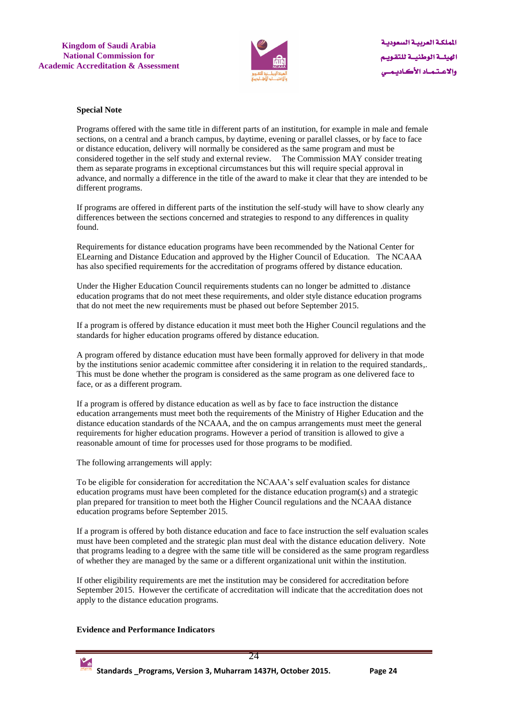

#### **Special Note**

Programs offered with the same title in different parts of an institution, for example in male and female sections, on a central and a branch campus, by daytime, evening or parallel classes, or by face to face or distance education, delivery will normally be considered as the same program and must be considered together in the self study and external review. The Commission MAY consider treating them as separate programs in exceptional circumstances but this will require special approval in advance, and normally a difference in the title of the award to make it clear that they are intended to be different programs.

If programs are offered in different parts of the institution the self-study will have to show clearly any differences between the sections concerned and strategies to respond to any differences in quality found.

Requirements for distance education programs have been recommended by the National Center for ELearning and Distance Education and approved by the Higher Council of Education. The NCAAA has also specified requirements for the accreditation of programs offered by distance education.

Under the Higher Education Council requirements students can no longer be admitted to .distance education programs that do not meet these requirements, and older style distance education programs that do not meet the new requirements must be phased out before September 2015.

If a program is offered by distance education it must meet both the Higher Council regulations and the standards for higher education programs offered by distance education.

A program offered by distance education must have been formally approved for delivery in that mode by the institutions senior academic committee after considering it in relation to the required standards,. This must be done whether the program is considered as the same program as one delivered face to face, or as a different program.

If a program is offered by distance education as well as by face to face instruction the distance education arrangements must meet both the requirements of the Ministry of Higher Education and the distance education standards of the NCAAA, and the on campus arrangements must meet the general requirements for higher education programs. However a period of transition is allowed to give a reasonable amount of time for processes used for those programs to be modified.

The following arrangements will apply:

To be eligible for consideration for accreditation the NCAAA's self evaluation scales for distance education programs must have been completed for the distance education program(s) and a strategic plan prepared for transition to meet both the Higher Council regulations and the NCAAA distance education programs before September 2015.

If a program is offered by both distance education and face to face instruction the self evaluation scales must have been completed and the strategic plan must deal with the distance education delivery. Note that programs leading to a degree with the same title will be considered as the same program regardless of whether they are managed by the same or a different organizational unit within the institution.

If other eligibility requirements are met the institution may be considered for accreditation before September 2015. However the certificate of accreditation will indicate that the accreditation does not apply to the distance education programs.

#### **Evidence and Performance Indicators**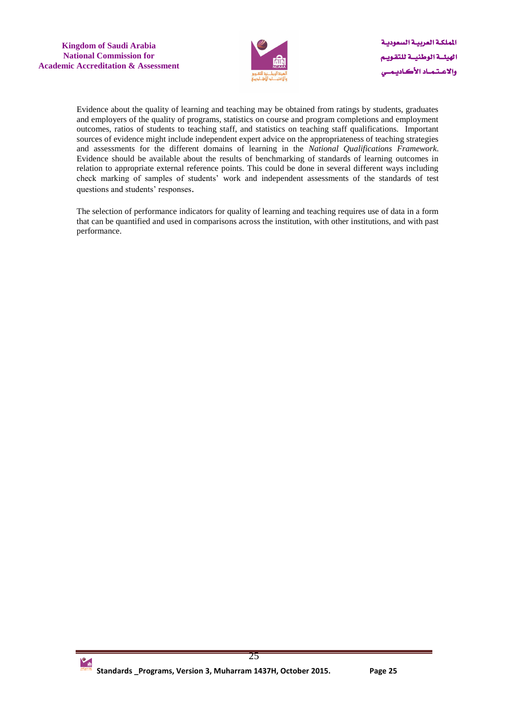

Evidence about the quality of learning and teaching may be obtained from ratings by students, graduates and employers of the quality of programs, statistics on course and program completions and employment outcomes, ratios of students to teaching staff, and statistics on teaching staff qualifications. Important sources of evidence might include independent expert advice on the appropriateness of teaching strategies and assessments for the different domains of learning in the *National Qualifications Framework*. Evidence should be available about the results of benchmarking of standards of learning outcomes in relation to appropriate external reference points. This could be done in several different ways including check marking of samples of students' work and independent assessments of the standards of test questions and students' responses.

The selection of performance indicators for quality of learning and teaching requires use of data in a form that can be quantified and used in comparisons across the institution, with other institutions, and with past performance.

25  $\mathbf{C}_{\mathbf{a}}$ **Standards \_Programs, Version 3, Muharram 1437H, October 2015. Page 25**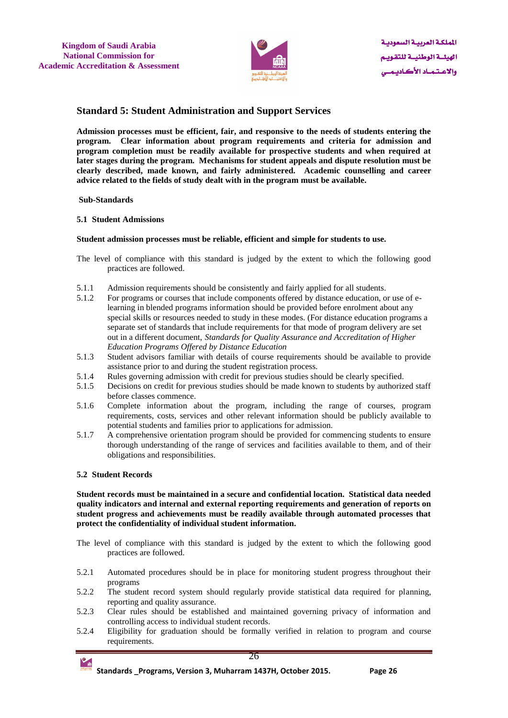

## **Standard 5: Student Administration and Support Services**

**Admission processes must be efficient, fair, and responsive to the needs of students entering the program. Clear information about program requirements and criteria for admission and program completion must be readily available for prospective students and when required at later stages during the program. Mechanisms for student appeals and dispute resolution must be clearly described, made known, and fairly administered. Academic counselling and career advice related to the fields of study dealt with in the program must be available.**

#### **Sub-Standards**

#### **5.1 Student Admissions**

#### **Student admission processes must be reliable, efficient and simple for students to use.**

- The level of compliance with this standard is judged by the extent to which the following good practices are followed.
- 5.1.1 Admission requirements should be consistently and fairly applied for all students.
- 5.1.2 For programs or courses that include components offered by distance education, or use of elearning in blended programs information should be provided before enrolment about any special skills or resources needed to study in these modes. (For distance education programs a separate set of standards that include requirements for that mode of program delivery are set out in a different document, *Standards for Quality Assurance and Accreditation of Higher Education Programs Offered by Distance Education*
- 5.1.3 Student advisors familiar with details of course requirements should be available to provide assistance prior to and during the student registration process.
- 5.1.4 Rules governing admission with credit for previous studies should be clearly specified.
- 5.1.5 Decisions on credit for previous studies should be made known to students by authorized staff before classes commence.
- 5.1.6 Complete information about the program, including the range of courses, program requirements, costs, services and other relevant information should be publicly available to potential students and families prior to applications for admission.
- 5.1.7 A comprehensive orientation program should be provided for commencing students to ensure thorough understanding of the range of services and facilities available to them, and of their obligations and responsibilities.

#### **5.2 Student Records**

**Student records must be maintained in a secure and confidential location. Statistical data needed quality indicators and internal and external reporting requirements and generation of reports on student progress and achievements must be readily available through automated processes that protect the confidentiality of individual student information.** 

- The level of compliance with this standard is judged by the extent to which the following good practices are followed.
- 5.2.1 Automated procedures should be in place for monitoring student progress throughout their programs
- 5.2.2 The student record system should regularly provide statistical data required for planning, reporting and quality assurance.
- 5.2.3 Clear rules should be established and maintained governing privacy of information and controlling access to individual student records.
- 5.2.4 Eligibility for graduation should be formally verified in relation to program and course requirements.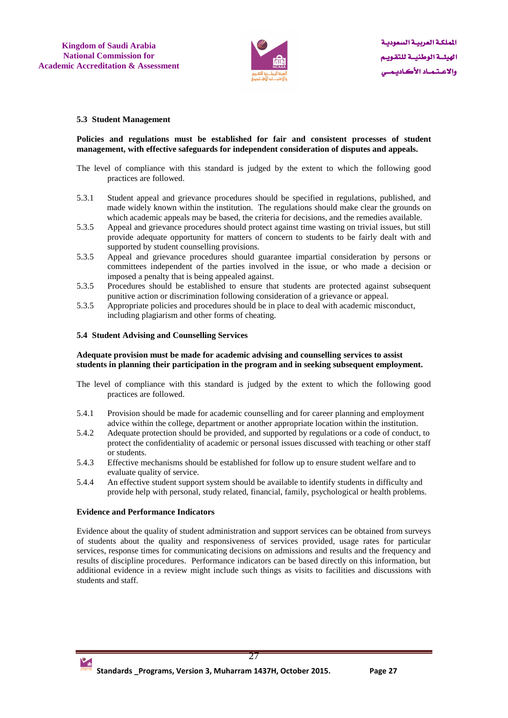

#### **5.3 Student Management**

#### **Policies and regulations must be established for fair and consistent processes of student management, with effective safeguards for independent consideration of disputes and appeals.**

- The level of compliance with this standard is judged by the extent to which the following good practices are followed.
- 5.3.1 Student appeal and grievance procedures should be specified in regulations, published, and made widely known within the institution. The regulations should make clear the grounds on which academic appeals may be based, the criteria for decisions, and the remedies available.
- 5.3.5 Appeal and grievance procedures should protect against time wasting on trivial issues, but still provide adequate opportunity for matters of concern to students to be fairly dealt with and supported by student counselling provisions.
- 5.3.5 Appeal and grievance procedures should guarantee impartial consideration by persons or committees independent of the parties involved in the issue, or who made a decision or imposed a penalty that is being appealed against.
- 5.3.5 Procedures should be established to ensure that students are protected against subsequent punitive action or discrimination following consideration of a grievance or appeal.
- 5.3.5 Appropriate policies and procedures should be in place to deal with academic misconduct, including plagiarism and other forms of cheating.

#### **5.4 Student Advising and Counselling Services**

#### **Adequate provision must be made for academic advising and counselling services to assist students in planning their participation in the program and in seeking subsequent employment.**

- The level of compliance with this standard is judged by the extent to which the following good practices are followed.
- 5.4.1 Provision should be made for academic counselling and for career planning and employment advice within the college, department or another appropriate location within the institution.
- 5.4.2 Adequate protection should be provided, and supported by regulations or a code of conduct, to protect the confidentiality of academic or personal issues discussed with teaching or other staff or students.
- 5.4.3 Effective mechanisms should be established for follow up to ensure student welfare and to evaluate quality of service.
- 5.4.4 An effective student support system should be available to identify students in difficulty and provide help with personal, study related, financial, family, psychological or health problems.

#### **Evidence and Performance Indicators**

Evidence about the quality of student administration and support services can be obtained from surveys of students about the quality and responsiveness of services provided, usage rates for particular services, response times for communicating decisions on admissions and results and the frequency and results of discipline procedures. Performance indicators can be based directly on this information, but additional evidence in a review might include such things as visits to facilities and discussions with students and staff.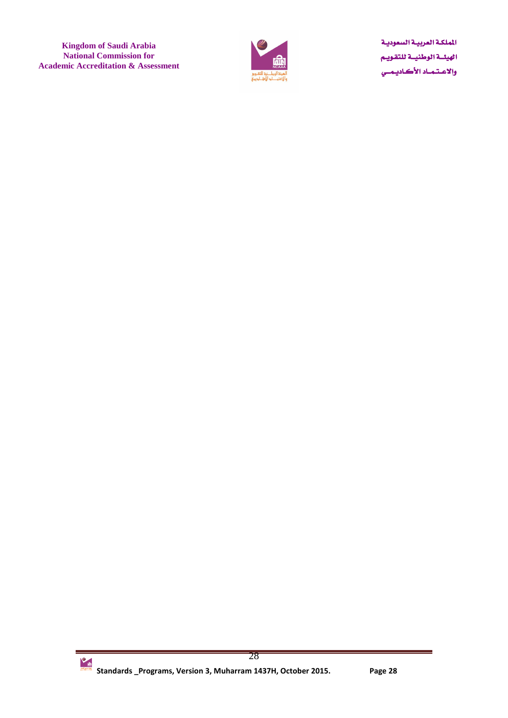**Kingdom of Saudi Arabia National Commission for Academic Accreditation & Assessment**



**اململكــة العربيــة السعوديــة اهليئــــة الوطنيــــة للتقـويــم واالعـــتــمـــاد األكــاديــمــــي**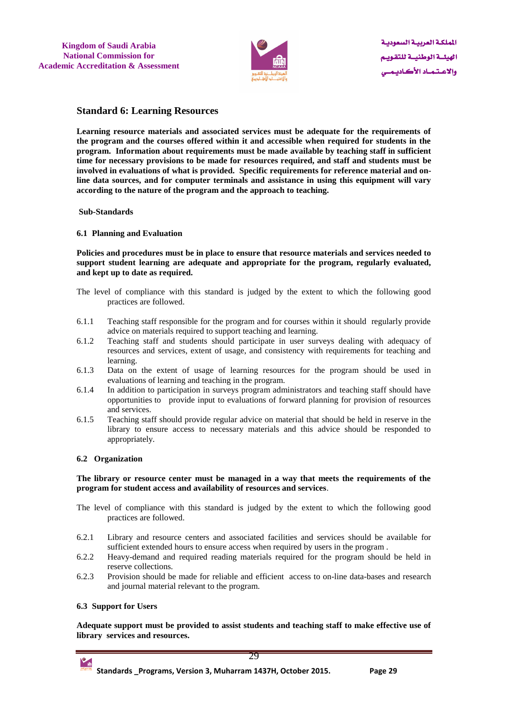

## **Standard 6: Learning Resources**

**Learning resource materials and associated services must be adequate for the requirements of the program and the courses offered within it and accessible when required for students in the program. Information about requirements must be made available by teaching staff in sufficient time for necessary provisions to be made for resources required, and staff and students must be involved in evaluations of what is provided. Specific requirements for reference material and online data sources, and for computer terminals and assistance in using this equipment will vary according to the nature of the program and the approach to teaching.** 

#### **Sub-Standards**

#### **6.1 Planning and Evaluation**

**Policies and procedures must be in place to ensure that resource materials and services needed to support student learning are adequate and appropriate for the program, regularly evaluated, and kept up to date as required.** 

- The level of compliance with this standard is judged by the extent to which the following good practices are followed.
- 6.1.1 Teaching staff responsible for the program and for courses within it should regularly provide advice on materials required to support teaching and learning.
- 6.1.2 Teaching staff and students should participate in user surveys dealing with adequacy of resources and services, extent of usage, and consistency with requirements for teaching and learning.
- 6.1.3 Data on the extent of usage of learning resources for the program should be used in evaluations of learning and teaching in the program.
- 6.1.4 In addition to participation in surveys program administrators and teaching staff should have opportunities to provide input to evaluations of forward planning for provision of resources and services.
- 6.1.5 Teaching staff should provide regular advice on material that should be held in reserve in the library to ensure access to necessary materials and this advice should be responded to appropriately.

#### **6.2 Organization**

#### **The library or resource center must be managed in a way that meets the requirements of the program for student access and availability of resources and services**.

- The level of compliance with this standard is judged by the extent to which the following good practices are followed.
- 6.2.1 Library and resource centers and associated facilities and services should be available for sufficient extended hours to ensure access when required by users in the program .
- 6.2.2 Heavy-demand and required reading materials required for the program should be held in reserve collections.
- 6.2.3 Provision should be made for reliable and efficient access to on-line data-bases and research and journal material relevant to the program.

#### **6.3 Support for Users**

**Adequate support must be provided to assist students and teaching staff to make effective use of library services and resources.**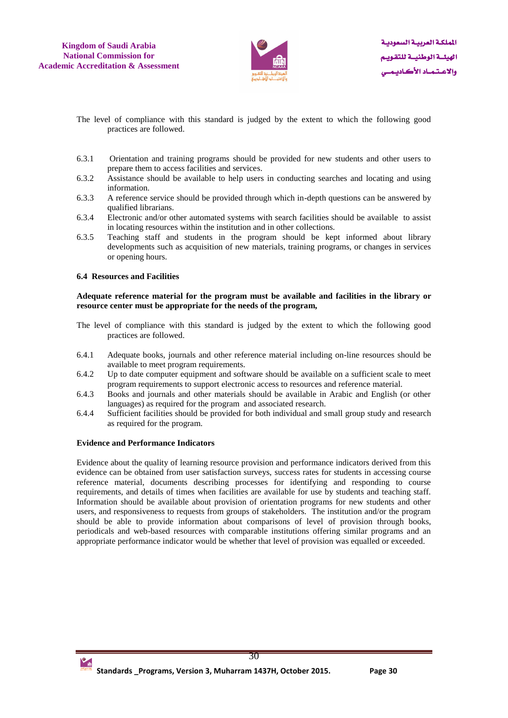

- The level of compliance with this standard is judged by the extent to which the following good practices are followed.
- 6.3.1 Orientation and training programs should be provided for new students and other users to prepare them to access facilities and services.
- 6.3.2 Assistance should be available to help users in conducting searches and locating and using information.
- 6.3.3 A reference service should be provided through which in-depth questions can be answered by qualified librarians.
- 6.3.4 Electronic and/or other automated systems with search facilities should be available to assist in locating resources within the institution and in other collections.
- 6.3.5 Teaching staff and students in the program should be kept informed about library developments such as acquisition of new materials, training programs, or changes in services or opening hours.

#### **6.4 Resources and Facilities**

#### **Adequate reference material for the program must be available and facilities in the library or resource center must be appropriate for the needs of the program,**

- The level of compliance with this standard is judged by the extent to which the following good practices are followed.
- 6.4.1 Adequate books, journals and other reference material including on-line resources should be available to meet program requirements.
- 6.4.2 Up to date computer equipment and software should be available on a sufficient scale to meet program requirements to support electronic access to resources and reference material.
- 6.4.3 Books and journals and other materials should be available in Arabic and English (or other languages) as required for the program and associated research.
- 6.4.4 Sufficient facilities should be provided for both individual and small group study and research as required for the program.

#### **Evidence and Performance Indicators**

Evidence about the quality of learning resource provision and performance indicators derived from this evidence can be obtained from user satisfaction surveys, success rates for students in accessing course reference material, documents describing processes for identifying and responding to course requirements, and details of times when facilities are available for use by students and teaching staff. Information should be available about provision of orientation programs for new students and other users, and responsiveness to requests from groups of stakeholders. The institution and/or the program should be able to provide information about comparisons of level of provision through books, periodicals and web-based resources with comparable institutions offering similar programs and an appropriate performance indicator would be whether that level of provision was equalled or exceeded.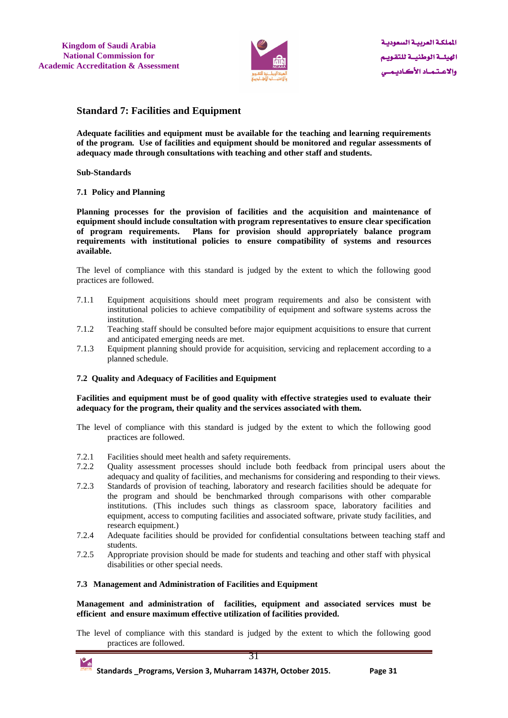

## **Standard 7: Facilities and Equipment**

**Adequate facilities and equipment must be available for the teaching and learning requirements of the program. Use of facilities and equipment should be monitored and regular assessments of adequacy made through consultations with teaching and other staff and students.**

**Sub-Standards**

**7.1 Policy and Planning**

**Planning processes for the provision of facilities and the acquisition and maintenance of equipment should include consultation with program representatives to ensure clear specification of program requirements. Plans for provision should appropriately balance program requirements with institutional policies to ensure compatibility of systems and resources available.** 

The level of compliance with this standard is judged by the extent to which the following good practices are followed.

- 7.1.1 Equipment acquisitions should meet program requirements and also be consistent with institutional policies to achieve compatibility of equipment and software systems across the institution.
- 7.1.2 Teaching staff should be consulted before major equipment acquisitions to ensure that current and anticipated emerging needs are met.
- 7.1.3 Equipment planning should provide for acquisition, servicing and replacement according to a planned schedule.

#### **7.2 Quality and Adequacy of Facilities and Equipment**

#### **Facilities and equipment must be of good quality with effective strategies used to evaluate their adequacy for the program, their quality and the services associated with them.**

- The level of compliance with this standard is judged by the extent to which the following good practices are followed.
- 7.2.1 Facilities should meet health and safety requirements.
- 7.2.2 Quality assessment processes should include both feedback from principal users about the adequacy and quality of facilities, and mechanisms for considering and responding to their views.
- 7.2.3 Standards of provision of teaching, laboratory and research facilities should be adequate for the program and should be benchmarked through comparisons with other comparable institutions. (This includes such things as classroom space, laboratory facilities and equipment, access to computing facilities and associated software, private study facilities, and research equipment.)
- 7.2.4 Adequate facilities should be provided for confidential consultations between teaching staff and students.
- 7.2.5 Appropriate provision should be made for students and teaching and other staff with physical disabilities or other special needs.

#### **7.3 Management and Administration of Facilities and Equipment**

**Management and administration of facilities, equipment and associated services must be efficient and ensure maximum effective utilization of facilities provided.** 

The level of compliance with this standard is judged by the extent to which the following good practices are followed.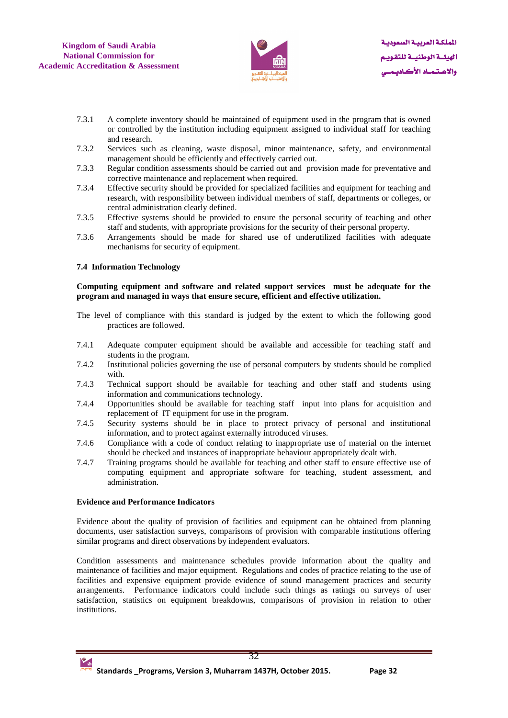

- 7.3.1 A complete inventory should be maintained of equipment used in the program that is owned or controlled by the institution including equipment assigned to individual staff for teaching and research.
- 7.3.2 Services such as cleaning, waste disposal, minor maintenance, safety, and environmental management should be efficiently and effectively carried out.
- 7.3.3 Regular condition assessments should be carried out and provision made for preventative and corrective maintenance and replacement when required.
- 7.3.4 Effective security should be provided for specialized facilities and equipment for teaching and research, with responsibility between individual members of staff, departments or colleges, or central administration clearly defined.
- 7.3.5 Effective systems should be provided to ensure the personal security of teaching and other staff and students, with appropriate provisions for the security of their personal property.
- 7.3.6 Arrangements should be made for shared use of underutilized facilities with adequate mechanisms for security of equipment.

## **7.4 Information Technology**

#### **Computing equipment and software and related support services must be adequate for the program and managed in ways that ensure secure, efficient and effective utilization.**

- The level of compliance with this standard is judged by the extent to which the following good practices are followed.
- 7.4.1 Adequate computer equipment should be available and accessible for teaching staff and students in the program.
- 7.4.2 Institutional policies governing the use of personal computers by students should be complied with.
- 7.4.3 Technical support should be available for teaching and other staff and students using information and communications technology.
- 7.4.4 Opportunities should be available for teaching staff input into plans for acquisition and replacement of IT equipment for use in the program.
- 7.4.5 Security systems should be in place to protect privacy of personal and institutional information, and to protect against externally introduced viruses.
- 7.4.6 Compliance with a code of conduct relating to inappropriate use of material on the internet should be checked and instances of inappropriate behaviour appropriately dealt with.
- 7.4.7 Training programs should be available for teaching and other staff to ensure effective use of computing equipment and appropriate software for teaching, student assessment, and administration.

#### **Evidence and Performance Indicators**

Evidence about the quality of provision of facilities and equipment can be obtained from planning documents, user satisfaction surveys, comparisons of provision with comparable institutions offering similar programs and direct observations by independent evaluators.

Condition assessments and maintenance schedules provide information about the quality and maintenance of facilities and major equipment. Regulations and codes of practice relating to the use of facilities and expensive equipment provide evidence of sound management practices and security arrangements. Performance indicators could include such things as ratings on surveys of user satisfaction, statistics on equipment breakdowns, comparisons of provision in relation to other institutions.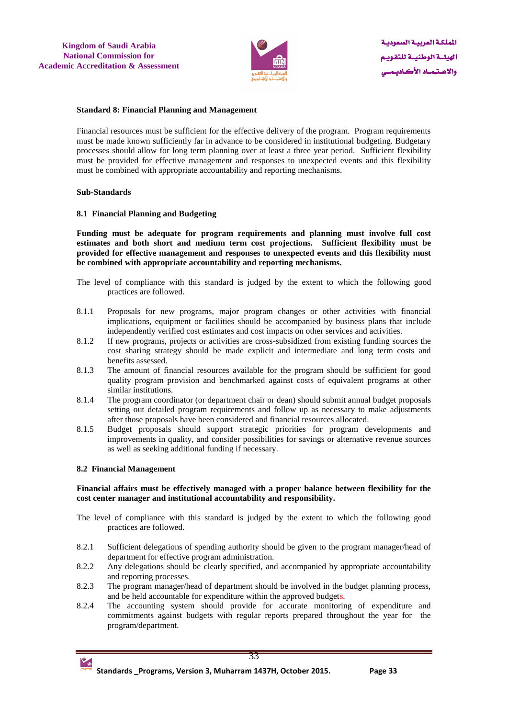

#### **Standard 8: Financial Planning and Management**

Financial resources must be sufficient for the effective delivery of the program. Program requirements must be made known sufficiently far in advance to be considered in institutional budgeting. Budgetary processes should allow for long term planning over at least a three year period. Sufficient flexibility must be provided for effective management and responses to unexpected events and this flexibility must be combined with appropriate accountability and reporting mechanisms.

#### **Sub-Standards**

#### **8.1 Financial Planning and Budgeting**

**Funding must be adequate for program requirements and planning must involve full cost estimates and both short and medium term cost projections. Sufficient flexibility must be provided for effective management and responses to unexpected events and this flexibility must be combined with appropriate accountability and reporting mechanisms.** 

- The level of compliance with this standard is judged by the extent to which the following good practices are followed.
- 8.1.1 Proposals for new programs, major program changes or other activities with financial implications, equipment or facilities should be accompanied by business plans that include independently verified cost estimates and cost impacts on other services and activities.
- 8.1.2 If new programs, projects or activities are cross-subsidized from existing funding sources the cost sharing strategy should be made explicit and intermediate and long term costs and benefits assessed.
- 8.1.3 The amount of financial resources available for the program should be sufficient for good quality program provision and benchmarked against costs of equivalent programs at other similar institutions.
- 8.1.4 The program coordinator (or department chair or dean) should submit annual budget proposals setting out detailed program requirements and follow up as necessary to make adjustments after those proposals have been considered and financial resources allocated.
- 8.1.5 Budget proposals should support strategic priorities for program developments and improvements in quality, and consider possibilities for savings or alternative revenue sources as well as seeking additional funding if necessary.

#### **8.2 Financial Management**

#### **Financial affairs must be effectively managed with a proper balance between flexibility for the cost center manager and institutional accountability and responsibility.**

- The level of compliance with this standard is judged by the extent to which the following good practices are followed.
- 8.2.1 Sufficient delegations of spending authority should be given to the program manager/head of department for effective program administration.
- 8.2.2 Any delegations should be clearly specified, and accompanied by appropriate accountability and reporting processes.
- 8.2.3 The program manager/head of department should be involved in the budget planning process, and be held accountable for expenditure within the approved budgets.
- 8.2.4 The accounting system should provide for accurate monitoring of expenditure and commitments against budgets with regular reports prepared throughout the year for the program/department.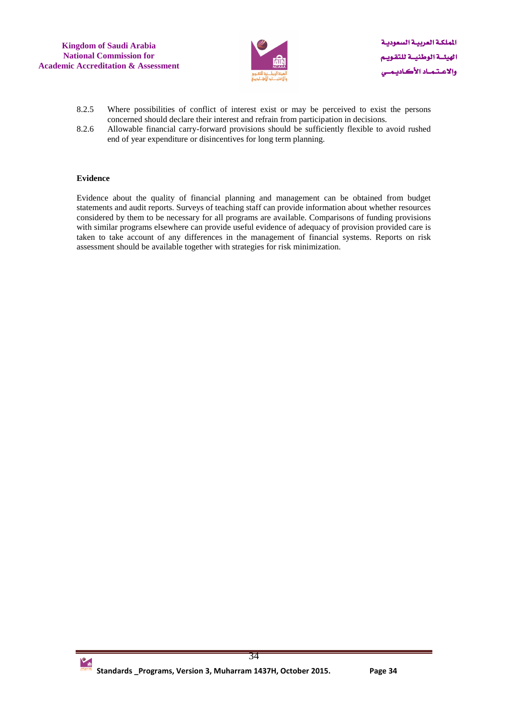

- 8.2.5 Where possibilities of conflict of interest exist or may be perceived to exist the persons concerned should declare their interest and refrain from participation in decisions.
- 8.2.6 Allowable financial carry-forward provisions should be sufficiently flexible to avoid rushed end of year expenditure or disincentives for long term planning.

#### **Evidence**

Evidence about the quality of financial planning and management can be obtained from budget statements and audit reports. Surveys of teaching staff can provide information about whether resources considered by them to be necessary for all programs are available. Comparisons of funding provisions with similar programs elsewhere can provide useful evidence of adequacy of provision provided care is taken to take account of any differences in the management of financial systems. Reports on risk assessment should be available together with strategies for risk minimization.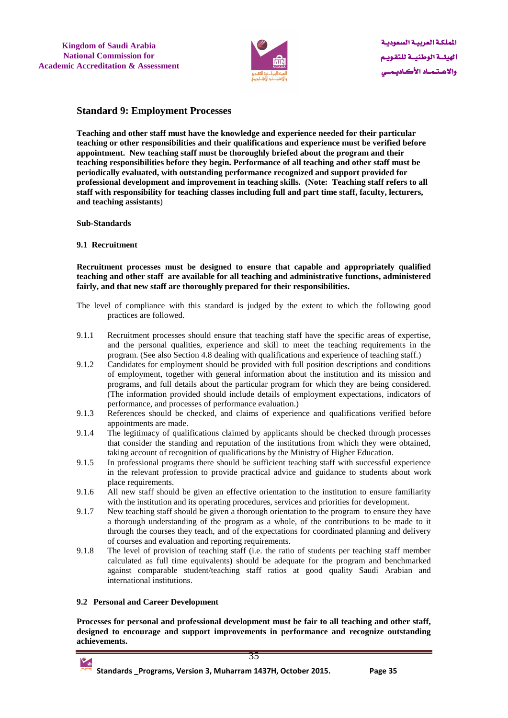

## **Standard 9: Employment Processes**

**Teaching and other staff must have the knowledge and experience needed for their particular teaching or other responsibilities and their qualifications and experience must be verified before appointment. New teaching staff must be thoroughly briefed about the program and their teaching responsibilities before they begin. Performance of all teaching and other staff must be periodically evaluated, with outstanding performance recognized and support provided for professional development and improvement in teaching skills. (Note: Teaching staff refers to all staff with responsibility for teaching classes including full and part time staff, faculty, lecturers, and teaching assistants**)

#### **Sub-Standards**

#### **9.1 Recruitment**

**Recruitment processes must be designed to ensure that capable and appropriately qualified teaching and other staff are available for all teaching and administrative functions, administered fairly, and that new staff are thoroughly prepared for their responsibilities.** 

- The level of compliance with this standard is judged by the extent to which the following good practices are followed.
- 9.1.1 Recruitment processes should ensure that teaching staff have the specific areas of expertise, and the personal qualities, experience and skill to meet the teaching requirements in the program. (See also Section 4.8 dealing with qualifications and experience of teaching staff.)
- 9.1.2 Candidates for employment should be provided with full position descriptions and conditions of employment, together with general information about the institution and its mission and programs, and full details about the particular program for which they are being considered. (The information provided should include details of employment expectations, indicators of performance, and processes of performance evaluation.)
- 9.1.3 References should be checked, and claims of experience and qualifications verified before appointments are made.
- 9.1.4 The legitimacy of qualifications claimed by applicants should be checked through processes that consider the standing and reputation of the institutions from which they were obtained, taking account of recognition of qualifications by the Ministry of Higher Education.
- 9.1.5 In professional programs there should be sufficient teaching staff with successful experience in the relevant profession to provide practical advice and guidance to students about work place requirements.
- 9.1.6 All new staff should be given an effective orientation to the institution to ensure familiarity with the institution and its operating procedures, services and priorities for development.
- 9.1.7 New teaching staff should be given a thorough orientation to the program to ensure they have a thorough understanding of the program as a whole, of the contributions to be made to it through the courses they teach, and of the expectations for coordinated planning and delivery of courses and evaluation and reporting requirements.
- 9.1.8 The level of provision of teaching staff (i.e. the ratio of students per teaching staff member calculated as full time equivalents) should be adequate for the program and benchmarked against comparable student/teaching staff ratios at good quality Saudi Arabian and international institutions.

#### **9.2 Personal and Career Development**

**Processes for personal and professional development must be fair to all teaching and other staff, designed to encourage and support improvements in performance and recognize outstanding achievements.**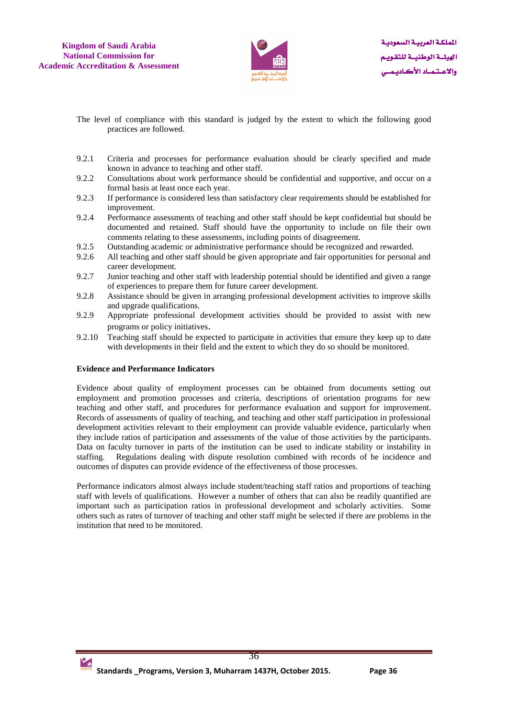

- The level of compliance with this standard is judged by the extent to which the following good practices are followed.
- 9.2.1 Criteria and processes for performance evaluation should be clearly specified and made known in advance to teaching and other staff.
- 9.2.2 Consultations about work performance should be confidential and supportive, and occur on a formal basis at least once each year.
- 9.2.3 If performance is considered less than satisfactory clear requirements should be established for improvement.
- 9.2.4 Performance assessments of teaching and other staff should be kept confidential but should be documented and retained. Staff should have the opportunity to include on file their own comments relating to these assessments, including points of disagreement.
- 9.2.5 Outstanding academic or administrative performance should be recognized and rewarded.
- 9.2.6 All teaching and other staff should be given appropriate and fair opportunities for personal and career development.
- 9.2.7 Junior teaching and other staff with leadership potential should be identified and given a range of experiences to prepare them for future career development.
- 9.2.8 Assistance should be given in arranging professional development activities to improve skills and upgrade qualifications.
- 9.2.9 Appropriate professional development activities should be provided to assist with new programs or policy initiatives.
- 9.2.10 Teaching staff should be expected to participate in activities that ensure they keep up to date with developments in their field and the extent to which they do so should be monitored.

#### **Evidence and Performance Indicators**

Evidence about quality of employment processes can be obtained from documents setting out employment and promotion processes and criteria, descriptions of orientation programs for new teaching and other staff, and procedures for performance evaluation and support for improvement. Records of assessments of quality of teaching, and teaching and other staff participation in professional development activities relevant to their employment can provide valuable evidence, particularly when they include ratios of participation and assessments of the value of those activities by the participants. Data on faculty turnover in parts of the institution can be used to indicate stability or instability in staffing. Regulations dealing with dispute resolution combined with records of he incidence and outcomes of disputes can provide evidence of the effectiveness of those processes.

Performance indicators almost always include student/teaching staff ratios and proportions of teaching staff with levels of qualifications. However a number of others that can also be readily quantified are important such as participation ratios in professional development and scholarly activities. Some others such as rates of turnover of teaching and other staff might be selected if there are problems in the institution that need to be monitored.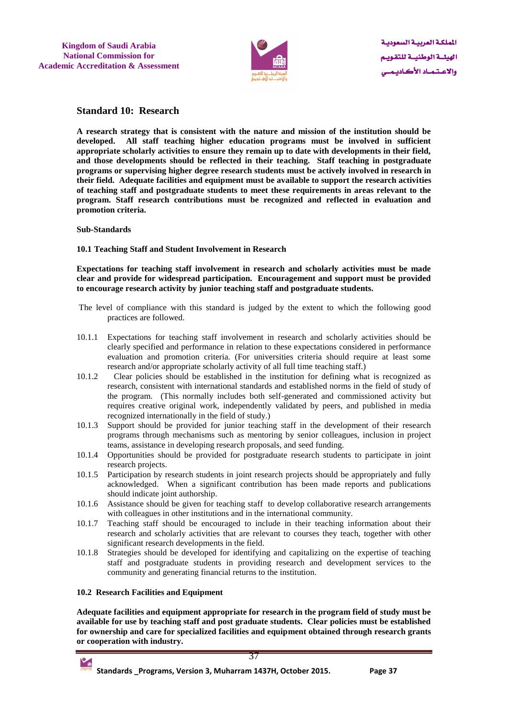

## **Standard 10: Research**

**A research strategy that is consistent with the nature and mission of the institution should be developed. All staff teaching higher education programs must be involved in sufficient appropriate scholarly activities to ensure they remain up to date with developments in their field, and those developments should be reflected in their teaching. Staff teaching in postgraduate programs or supervising higher degree research students must be actively involved in research in their field. Adequate facilities and equipment must be available to support the research activities of teaching staff and postgraduate students to meet these requirements in areas relevant to the program. Staff research contributions must be recognized and reflected in evaluation and promotion criteria.** 

**Sub-Standards**

#### **10.1 Teaching Staff and Student Involvement in Research**

**Expectations for teaching staff involvement in research and scholarly activities must be made clear and provide for widespread participation. Encouragement and support must be provided to encourage research activity by junior teaching staff and postgraduate students.** 

- The level of compliance with this standard is judged by the extent to which the following good practices are followed.
- 10.1.1 Expectations for teaching staff involvement in research and scholarly activities should be clearly specified and performance in relation to these expectations considered in performance evaluation and promotion criteria. (For universities criteria should require at least some research and/or appropriate scholarly activity of all full time teaching staff.)
- 10.1.2 Clear policies should be established in the institution for defining what is recognized as research, consistent with international standards and established norms in the field of study of the program. (This normally includes both self-generated and commissioned activity but requires creative original work, independently validated by peers, and published in media recognized internationally in the field of study.)
- 10.1.3 Support should be provided for junior teaching staff in the development of their research programs through mechanisms such as mentoring by senior colleagues, inclusion in project teams, assistance in developing research proposals, and seed funding.
- 10.1.4 Opportunities should be provided for postgraduate research students to participate in joint research projects.
- 10.1.5 Participation by research students in joint research projects should be appropriately and fully acknowledged. When a significant contribution has been made reports and publications should indicate joint authorship.
- 10.1.6 Assistance should be given for teaching staff to develop collaborative research arrangements with colleagues in other institutions and in the international community.
- 10.1.7 Teaching staff should be encouraged to include in their teaching information about their research and scholarly activities that are relevant to courses they teach, together with other significant research developments in the field.
- 10.1.8 Strategies should be developed for identifying and capitalizing on the expertise of teaching staff and postgraduate students in providing research and development services to the community and generating financial returns to the institution.

#### **10.2 Research Facilities and Equipment**

**Adequate facilities and equipment appropriate for research in the program field of study must be available for use by teaching staff and post graduate students. Clear policies must be established for ownership and care for specialized facilities and equipment obtained through research grants or cooperation with industry.**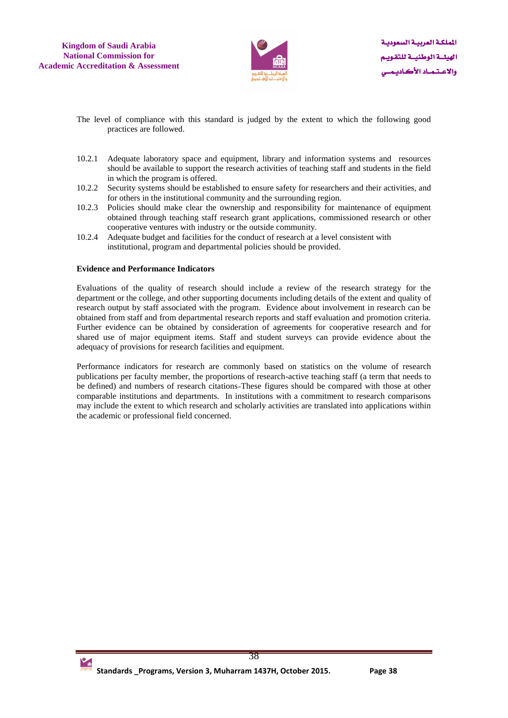

- The level of compliance with this standard is judged by the extent to which the following good practices are followed.
- 10.2.1 Adequate laboratory space and equipment, library and information systems and resources should be available to support the research activities of teaching staff and students in the field in which the program is offered.
- 10.2.2 Security systems should be established to ensure safety for researchers and their activities, and for others in the institutional community and the surrounding region.
- 10.2.3 Policies should make clear the ownership and responsibility for maintenance of equipment obtained through teaching staff research grant applications, commissioned research or other cooperative ventures with industry or the outside community.
- 10.2.4 Adequate budget and facilities for the conduct of research at a level consistent with institutional, program and departmental policies should be provided.

#### **Evidence and Performance Indicators**

Evaluations of the quality of research should include a review of the research strategy for the department or the college, and other supporting documents including details of the extent and quality of research output by staff associated with the program. Evidence about involvement in research can be obtained from staff and from departmental research reports and staff evaluation and promotion criteria. Further evidence can be obtained by consideration of agreements for cooperative research and for shared use of major equipment items. Staff and student surveys can provide evidence about the adequacy of provisions for research facilities and equipment.

Performance indicators for research are commonly based on statistics on the volume of research publications per faculty member, the proportions of research-active teaching staff (a term that needs to be defined) and numbers of research citations-These figures should be compared with those at other comparable institutions and departments. In institutions with a commitment to research comparisons may include the extent to which research and scholarly activities are translated into applications within the academic or professional field concerned.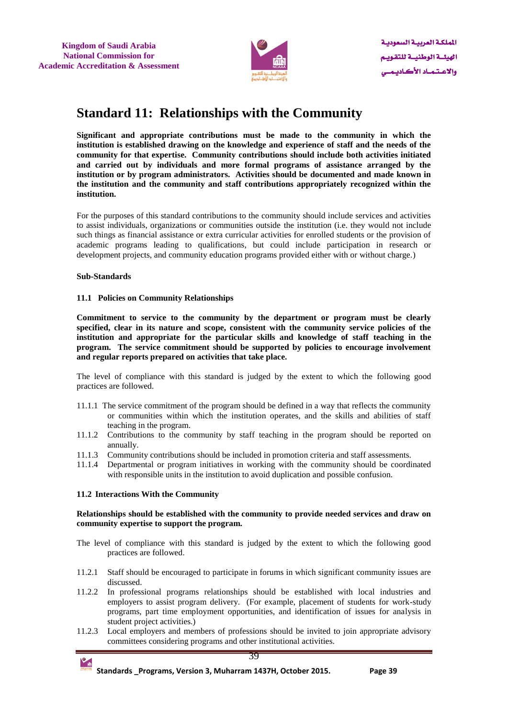

## **Standard 11: Relationships with the Community**

**Significant and appropriate contributions must be made to the community in which the institution is established drawing on the knowledge and experience of staff and the needs of the community for that expertise. Community contributions should include both activities initiated and carried out by individuals and more formal programs of assistance arranged by the institution or by program administrators. Activities should be documented and made known in the institution and the community and staff contributions appropriately recognized within the institution.**

For the purposes of this standard contributions to the community should include services and activities to assist individuals, organizations or communities outside the institution (i.e. they would not include such things as financial assistance or extra curricular activities for enrolled students or the provision of academic programs leading to qualifications, but could include participation in research or development projects, and community education programs provided either with or without charge.)

#### **Sub-Standards**

#### **11.1 Policies on Community Relationships**

**Commitment to service to the community by the department or program must be clearly specified, clear in its nature and scope, consistent with the community service policies of the institution and appropriate for the particular skills and knowledge of staff teaching in the program. The service commitment should be supported by policies to encourage involvement and regular reports prepared on activities that take place.** 

The level of compliance with this standard is judged by the extent to which the following good practices are followed.

- 11.1.1 The service commitment of the program should be defined in a way that reflects the community or communities within which the institution operates, and the skills and abilities of staff teaching in the program.
- 11.1.2 Contributions to the community by staff teaching in the program should be reported on annually.
- 11.1.3 Community contributions should be included in promotion criteria and staff assessments.
- 11.1.4 Departmental or program initiatives in working with the community should be coordinated with responsible units in the institution to avoid duplication and possible confusion.

## **11.2 Interactions With the Community**

#### **Relationships should be established with the community to provide needed services and draw on community expertise to support the program.**

- The level of compliance with this standard is judged by the extent to which the following good practices are followed.
- 11.2.1 Staff should be encouraged to participate in forums in which significant community issues are discussed.
- 11.2.2 In professional programs relationships should be established with local industries and employers to assist program delivery. (For example, placement of students for work-study programs, part time employment opportunities, and identification of issues for analysis in student project activities.)
- 11.2.3 Local employers and members of professions should be invited to join appropriate advisory committees considering programs and other institutional activities.